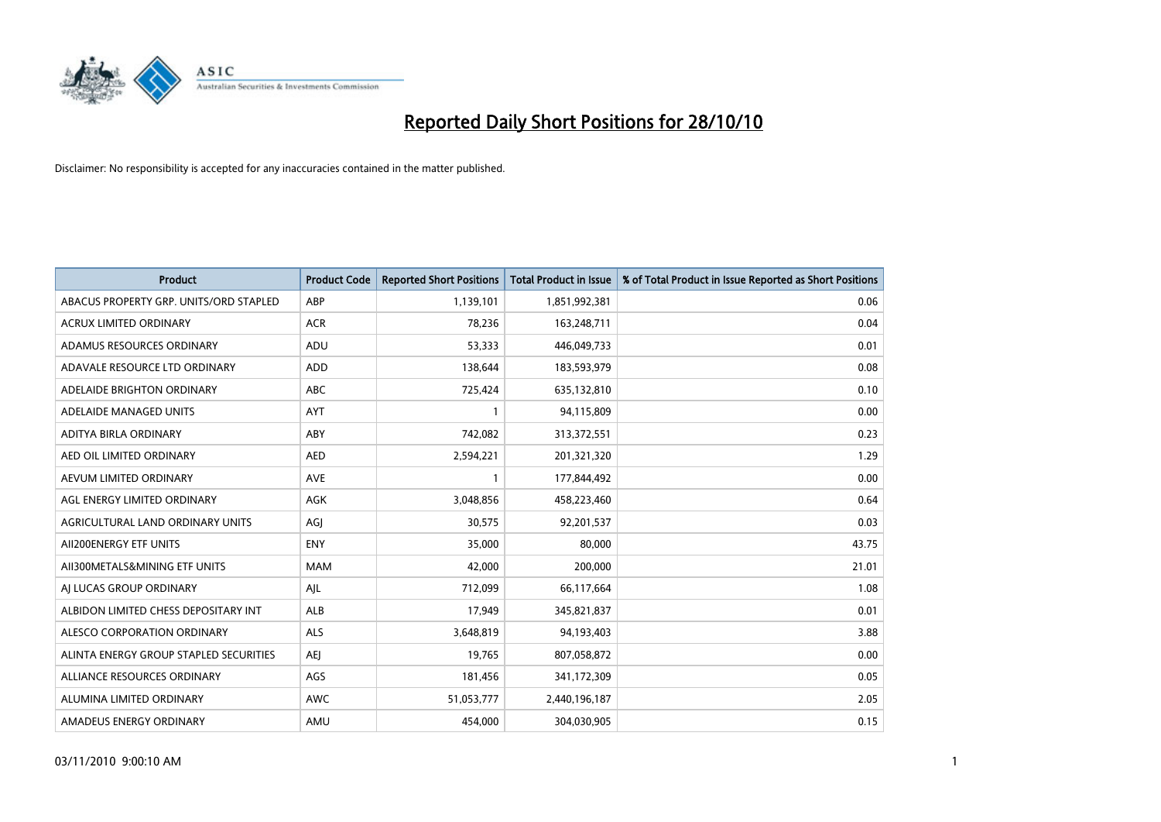

| <b>Product</b>                         | <b>Product Code</b> | <b>Reported Short Positions</b> | <b>Total Product in Issue</b> | % of Total Product in Issue Reported as Short Positions |
|----------------------------------------|---------------------|---------------------------------|-------------------------------|---------------------------------------------------------|
| ABACUS PROPERTY GRP. UNITS/ORD STAPLED | ABP                 | 1,139,101                       | 1,851,992,381                 | 0.06                                                    |
| ACRUX LIMITED ORDINARY                 | <b>ACR</b>          | 78,236                          | 163,248,711                   | 0.04                                                    |
| ADAMUS RESOURCES ORDINARY              | ADU                 | 53,333                          | 446,049,733                   | 0.01                                                    |
| ADAVALE RESOURCE LTD ORDINARY          | ADD                 | 138,644                         | 183,593,979                   | 0.08                                                    |
| ADELAIDE BRIGHTON ORDINARY             | <b>ABC</b>          | 725,424                         | 635,132,810                   | 0.10                                                    |
| ADELAIDE MANAGED UNITS                 | <b>AYT</b>          |                                 | 94,115,809                    | 0.00                                                    |
| ADITYA BIRLA ORDINARY                  | ABY                 | 742,082                         | 313,372,551                   | 0.23                                                    |
| AED OIL LIMITED ORDINARY               | <b>AED</b>          | 2,594,221                       | 201,321,320                   | 1.29                                                    |
| AEVUM LIMITED ORDINARY                 | <b>AVE</b>          |                                 | 177,844,492                   | 0.00                                                    |
| AGL ENERGY LIMITED ORDINARY            | <b>AGK</b>          | 3,048,856                       | 458,223,460                   | 0.64                                                    |
| AGRICULTURAL LAND ORDINARY UNITS       | AGJ                 | 30,575                          | 92,201,537                    | 0.03                                                    |
| AII200ENERGY ETF UNITS                 | <b>ENY</b>          | 35,000                          | 80,000                        | 43.75                                                   |
| AII300METALS&MINING ETF UNITS          | <b>MAM</b>          | 42,000                          | 200,000                       | 21.01                                                   |
| AI LUCAS GROUP ORDINARY                | AJL                 | 712,099                         | 66,117,664                    | 1.08                                                    |
| ALBIDON LIMITED CHESS DEPOSITARY INT   | <b>ALB</b>          | 17,949                          | 345,821,837                   | 0.01                                                    |
| ALESCO CORPORATION ORDINARY            | ALS                 | 3,648,819                       | 94,193,403                    | 3.88                                                    |
| ALINTA ENERGY GROUP STAPLED SECURITIES | <b>AEI</b>          | 19,765                          | 807,058,872                   | 0.00                                                    |
| ALLIANCE RESOURCES ORDINARY            | AGS                 | 181,456                         | 341,172,309                   | 0.05                                                    |
| ALUMINA LIMITED ORDINARY               | <b>AWC</b>          | 51,053,777                      | 2,440,196,187                 | 2.05                                                    |
| AMADEUS ENERGY ORDINARY                | AMU                 | 454.000                         | 304,030,905                   | 0.15                                                    |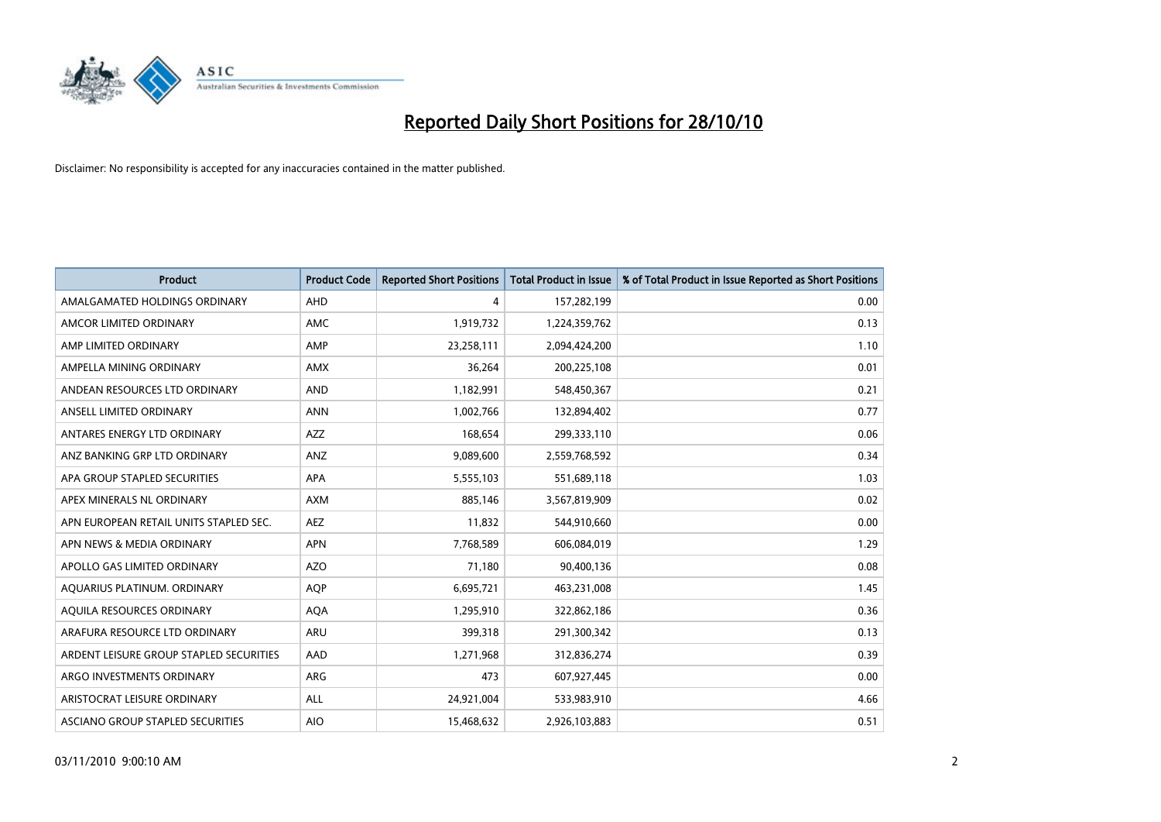

| <b>Product</b>                          | <b>Product Code</b> | <b>Reported Short Positions</b> | <b>Total Product in Issue</b> | % of Total Product in Issue Reported as Short Positions |
|-----------------------------------------|---------------------|---------------------------------|-------------------------------|---------------------------------------------------------|
| AMALGAMATED HOLDINGS ORDINARY           | AHD                 | 4                               | 157,282,199                   | 0.00                                                    |
| AMCOR LIMITED ORDINARY                  | <b>AMC</b>          | 1,919,732                       | 1,224,359,762                 | 0.13                                                    |
| AMP LIMITED ORDINARY                    | AMP                 | 23,258,111                      | 2,094,424,200                 | 1.10                                                    |
| AMPELLA MINING ORDINARY                 | <b>AMX</b>          | 36,264                          | 200,225,108                   | 0.01                                                    |
| ANDEAN RESOURCES LTD ORDINARY           | <b>AND</b>          | 1,182,991                       | 548,450,367                   | 0.21                                                    |
| ANSELL LIMITED ORDINARY                 | <b>ANN</b>          | 1,002,766                       | 132,894,402                   | 0.77                                                    |
| ANTARES ENERGY LTD ORDINARY             | <b>AZZ</b>          | 168,654                         | 299,333,110                   | 0.06                                                    |
| ANZ BANKING GRP LTD ORDINARY            | ANZ                 | 9,089,600                       | 2,559,768,592                 | 0.34                                                    |
| APA GROUP STAPLED SECURITIES            | <b>APA</b>          | 5,555,103                       | 551,689,118                   | 1.03                                                    |
| APEX MINERALS NL ORDINARY               | <b>AXM</b>          | 885,146                         | 3,567,819,909                 | 0.02                                                    |
| APN EUROPEAN RETAIL UNITS STAPLED SEC.  | <b>AEZ</b>          | 11,832                          | 544,910,660                   | 0.00                                                    |
| APN NEWS & MEDIA ORDINARY               | <b>APN</b>          | 7,768,589                       | 606,084,019                   | 1.29                                                    |
| APOLLO GAS LIMITED ORDINARY             | <b>AZO</b>          | 71,180                          | 90,400,136                    | 0.08                                                    |
| AQUARIUS PLATINUM. ORDINARY             | <b>AOP</b>          | 6,695,721                       | 463,231,008                   | 1.45                                                    |
| AQUILA RESOURCES ORDINARY               | <b>AQA</b>          | 1,295,910                       | 322,862,186                   | 0.36                                                    |
| ARAFURA RESOURCE LTD ORDINARY           | <b>ARU</b>          | 399,318                         | 291,300,342                   | 0.13                                                    |
| ARDENT LEISURE GROUP STAPLED SECURITIES | AAD                 | 1,271,968                       | 312,836,274                   | 0.39                                                    |
| ARGO INVESTMENTS ORDINARY               | <b>ARG</b>          | 473                             | 607,927,445                   | 0.00                                                    |
| ARISTOCRAT LEISURE ORDINARY             | ALL                 | 24,921,004                      | 533,983,910                   | 4.66                                                    |
| ASCIANO GROUP STAPLED SECURITIES        | <b>AIO</b>          | 15,468,632                      | 2,926,103,883                 | 0.51                                                    |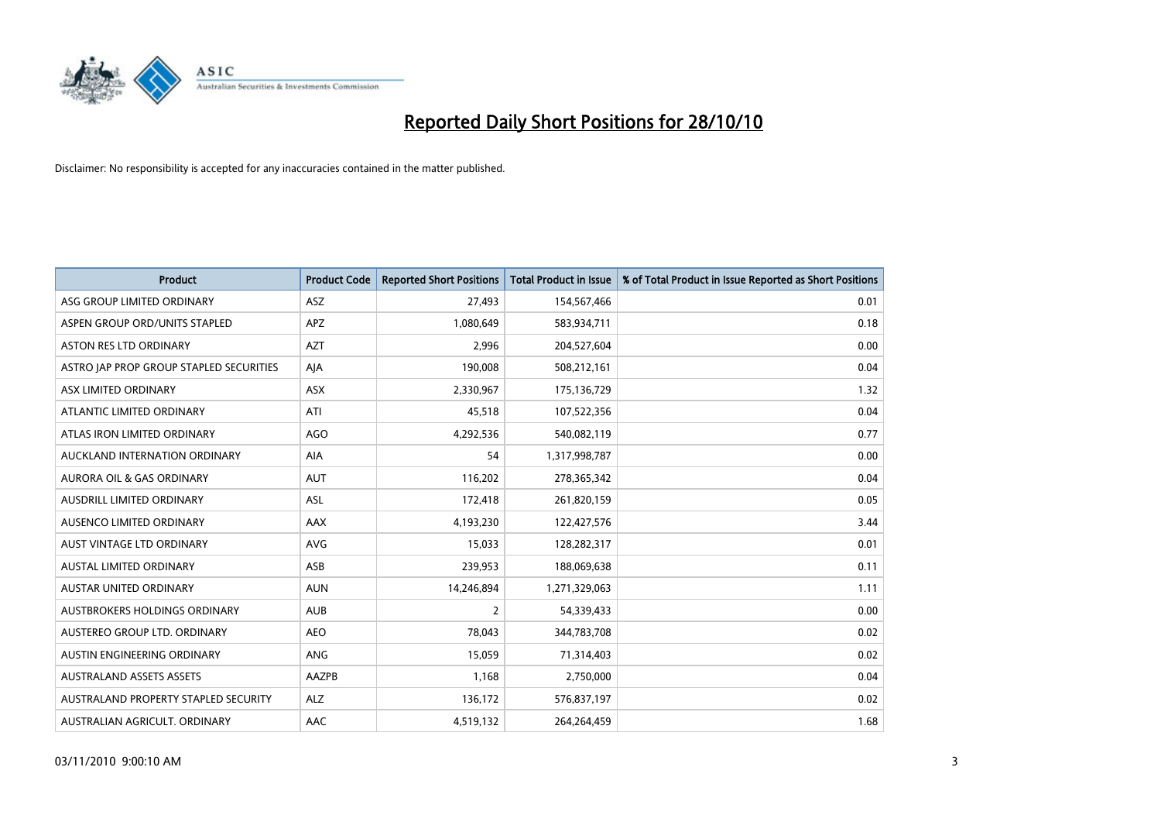

| <b>Product</b>                          | <b>Product Code</b> | <b>Reported Short Positions</b> | <b>Total Product in Issue</b> | % of Total Product in Issue Reported as Short Positions |
|-----------------------------------------|---------------------|---------------------------------|-------------------------------|---------------------------------------------------------|
| ASG GROUP LIMITED ORDINARY              | ASZ                 | 27,493                          | 154,567,466                   | 0.01                                                    |
| ASPEN GROUP ORD/UNITS STAPLED           | <b>APZ</b>          | 1,080,649                       | 583,934,711                   | 0.18                                                    |
| <b>ASTON RES LTD ORDINARY</b>           | <b>AZT</b>          | 2,996                           | 204,527,604                   | 0.00                                                    |
| ASTRO JAP PROP GROUP STAPLED SECURITIES | AJA                 | 190,008                         | 508,212,161                   | 0.04                                                    |
| ASX LIMITED ORDINARY                    | <b>ASX</b>          | 2,330,967                       | 175,136,729                   | 1.32                                                    |
| ATLANTIC LIMITED ORDINARY               | ATI                 | 45,518                          | 107,522,356                   | 0.04                                                    |
| ATLAS IRON LIMITED ORDINARY             | <b>AGO</b>          | 4,292,536                       | 540,082,119                   | 0.77                                                    |
| AUCKLAND INTERNATION ORDINARY           | AIA                 | 54                              | 1,317,998,787                 | 0.00                                                    |
| AURORA OIL & GAS ORDINARY               | <b>AUT</b>          | 116,202                         | 278,365,342                   | 0.04                                                    |
| AUSDRILL LIMITED ORDINARY               | <b>ASL</b>          | 172,418                         | 261,820,159                   | 0.05                                                    |
| AUSENCO LIMITED ORDINARY                | AAX                 | 4,193,230                       | 122,427,576                   | 3.44                                                    |
| <b>AUST VINTAGE LTD ORDINARY</b>        | AVG                 | 15,033                          | 128,282,317                   | 0.01                                                    |
| <b>AUSTAL LIMITED ORDINARY</b>          | ASB                 | 239,953                         | 188,069,638                   | 0.11                                                    |
| <b>AUSTAR UNITED ORDINARY</b>           | <b>AUN</b>          | 14,246,894                      | 1,271,329,063                 | 1.11                                                    |
| <b>AUSTBROKERS HOLDINGS ORDINARY</b>    | <b>AUB</b>          | $\overline{2}$                  | 54,339,433                    | 0.00                                                    |
| AUSTEREO GROUP LTD. ORDINARY            | <b>AEO</b>          | 78,043                          | 344,783,708                   | 0.02                                                    |
| AUSTIN ENGINEERING ORDINARY             | ANG                 | 15,059                          | 71,314,403                    | 0.02                                                    |
| <b>AUSTRALAND ASSETS ASSETS</b>         | AAZPB               | 1,168                           | 2,750,000                     | 0.04                                                    |
| AUSTRALAND PROPERTY STAPLED SECURITY    | <b>ALZ</b>          | 136,172                         | 576,837,197                   | 0.02                                                    |
| AUSTRALIAN AGRICULT, ORDINARY           | AAC                 | 4,519,132                       | 264.264.459                   | 1.68                                                    |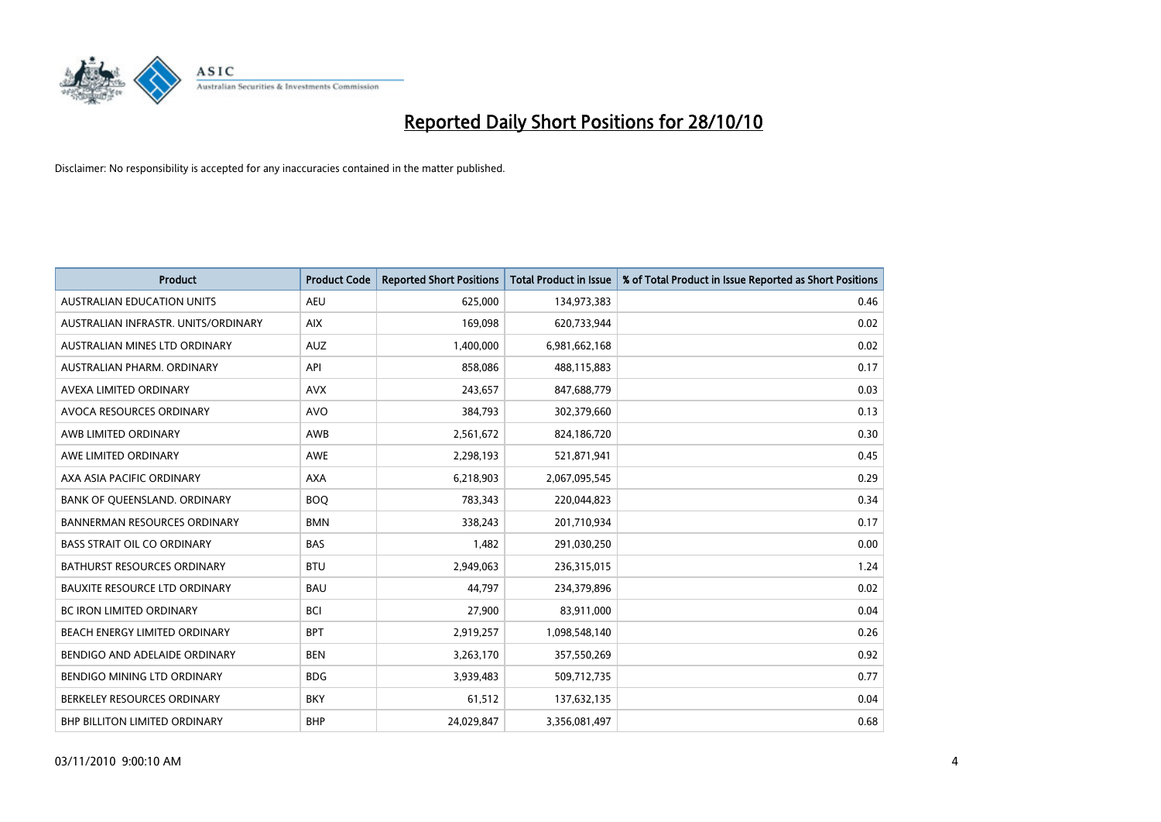

| <b>Product</b>                       | <b>Product Code</b> | <b>Reported Short Positions</b> | Total Product in Issue | % of Total Product in Issue Reported as Short Positions |
|--------------------------------------|---------------------|---------------------------------|------------------------|---------------------------------------------------------|
| <b>AUSTRALIAN EDUCATION UNITS</b>    | <b>AEU</b>          | 625,000                         | 134,973,383            | 0.46                                                    |
| AUSTRALIAN INFRASTR. UNITS/ORDINARY  | <b>AIX</b>          | 169,098                         | 620,733,944            | 0.02                                                    |
| AUSTRALIAN MINES LTD ORDINARY        | <b>AUZ</b>          | 1,400,000                       | 6,981,662,168          | 0.02                                                    |
| AUSTRALIAN PHARM. ORDINARY           | API                 | 858,086                         | 488,115,883            | 0.17                                                    |
| AVEXA LIMITED ORDINARY               | <b>AVX</b>          | 243,657                         | 847,688,779            | 0.03                                                    |
| AVOCA RESOURCES ORDINARY             | <b>AVO</b>          | 384,793                         | 302,379,660            | 0.13                                                    |
| AWB LIMITED ORDINARY                 | AWB                 | 2,561,672                       | 824,186,720            | 0.30                                                    |
| AWE LIMITED ORDINARY                 | AWE                 | 2,298,193                       | 521,871,941            | 0.45                                                    |
| AXA ASIA PACIFIC ORDINARY            | <b>AXA</b>          | 6,218,903                       | 2,067,095,545          | 0.29                                                    |
| BANK OF QUEENSLAND. ORDINARY         | <b>BOO</b>          | 783,343                         | 220,044,823            | 0.34                                                    |
| <b>BANNERMAN RESOURCES ORDINARY</b>  | <b>BMN</b>          | 338,243                         | 201,710,934            | 0.17                                                    |
| <b>BASS STRAIT OIL CO ORDINARY</b>   | <b>BAS</b>          | 1,482                           | 291,030,250            | 0.00                                                    |
| <b>BATHURST RESOURCES ORDINARY</b>   | <b>BTU</b>          | 2,949,063                       | 236,315,015            | 1.24                                                    |
| <b>BAUXITE RESOURCE LTD ORDINARY</b> | <b>BAU</b>          | 44,797                          | 234,379,896            | 0.02                                                    |
| <b>BC IRON LIMITED ORDINARY</b>      | <b>BCI</b>          | 27,900                          | 83,911,000             | 0.04                                                    |
| BEACH ENERGY LIMITED ORDINARY        | <b>BPT</b>          | 2,919,257                       | 1,098,548,140          | 0.26                                                    |
| BENDIGO AND ADELAIDE ORDINARY        | <b>BEN</b>          | 3,263,170                       | 357,550,269            | 0.92                                                    |
| BENDIGO MINING LTD ORDINARY          | <b>BDG</b>          | 3,939,483                       | 509,712,735            | 0.77                                                    |
| BERKELEY RESOURCES ORDINARY          | <b>BKY</b>          | 61,512                          | 137,632,135            | 0.04                                                    |
| <b>BHP BILLITON LIMITED ORDINARY</b> | <b>BHP</b>          | 24,029,847                      | 3,356,081,497          | 0.68                                                    |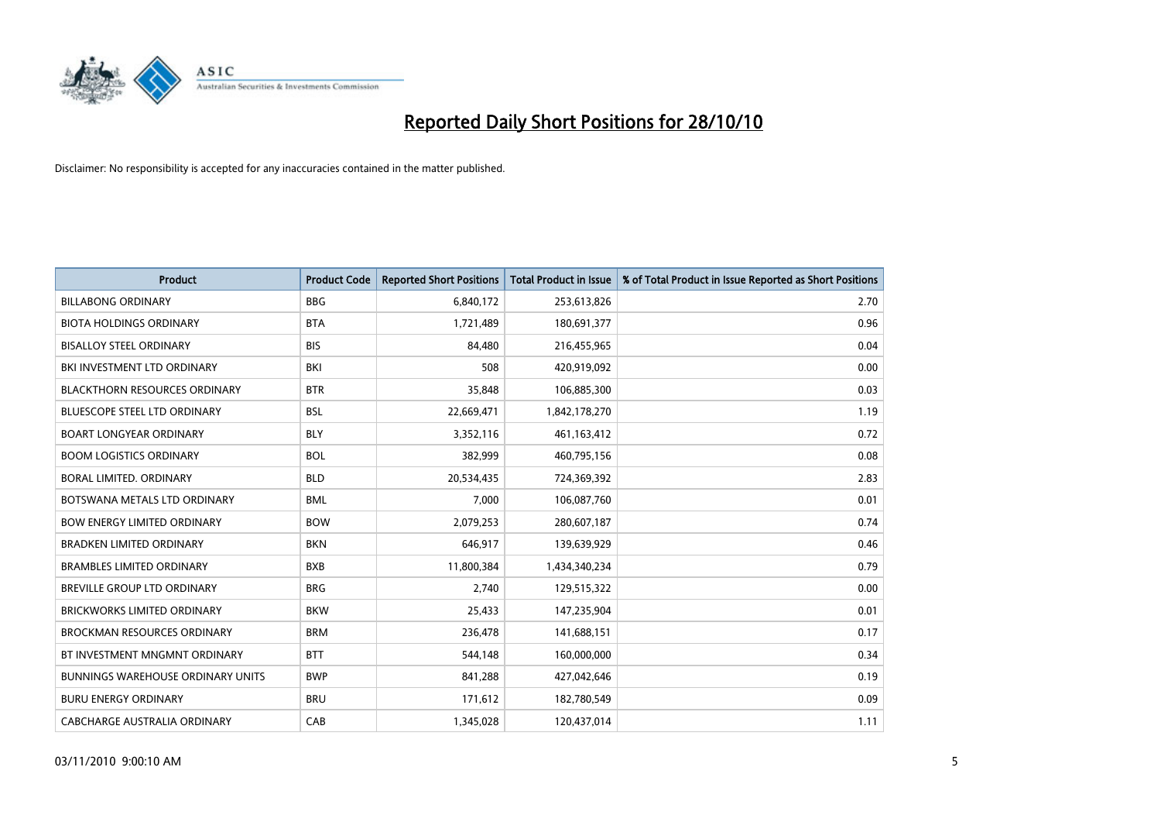

| <b>Product</b>                       | <b>Product Code</b> | <b>Reported Short Positions</b> | <b>Total Product in Issue</b> | % of Total Product in Issue Reported as Short Positions |
|--------------------------------------|---------------------|---------------------------------|-------------------------------|---------------------------------------------------------|
| <b>BILLABONG ORDINARY</b>            | <b>BBG</b>          | 6,840,172                       | 253,613,826                   | 2.70                                                    |
| <b>BIOTA HOLDINGS ORDINARY</b>       | <b>BTA</b>          | 1,721,489                       | 180,691,377                   | 0.96                                                    |
| <b>BISALLOY STEEL ORDINARY</b>       | <b>BIS</b>          | 84,480                          | 216,455,965                   | 0.04                                                    |
| BKI INVESTMENT LTD ORDINARY          | BKI                 | 508                             | 420,919,092                   | 0.00                                                    |
| <b>BLACKTHORN RESOURCES ORDINARY</b> | <b>BTR</b>          | 35,848                          | 106,885,300                   | 0.03                                                    |
| <b>BLUESCOPE STEEL LTD ORDINARY</b>  | <b>BSL</b>          | 22,669,471                      | 1,842,178,270                 | 1.19                                                    |
| BOART LONGYEAR ORDINARY              | <b>BLY</b>          | 3,352,116                       | 461,163,412                   | 0.72                                                    |
| <b>BOOM LOGISTICS ORDINARY</b>       | <b>BOL</b>          | 382,999                         | 460,795,156                   | 0.08                                                    |
| BORAL LIMITED. ORDINARY              | <b>BLD</b>          | 20,534,435                      | 724,369,392                   | 2.83                                                    |
| BOTSWANA METALS LTD ORDINARY         | <b>BML</b>          | 7.000                           | 106,087,760                   | 0.01                                                    |
| <b>BOW ENERGY LIMITED ORDINARY</b>   | <b>BOW</b>          | 2,079,253                       | 280,607,187                   | 0.74                                                    |
| <b>BRADKEN LIMITED ORDINARY</b>      | <b>BKN</b>          | 646,917                         | 139,639,929                   | 0.46                                                    |
| <b>BRAMBLES LIMITED ORDINARY</b>     | <b>BXB</b>          | 11,800,384                      | 1,434,340,234                 | 0.79                                                    |
| BREVILLE GROUP LTD ORDINARY          | <b>BRG</b>          | 2,740                           | 129,515,322                   | 0.00                                                    |
| <b>BRICKWORKS LIMITED ORDINARY</b>   | <b>BKW</b>          | 25,433                          | 147,235,904                   | 0.01                                                    |
| <b>BROCKMAN RESOURCES ORDINARY</b>   | <b>BRM</b>          | 236,478                         | 141,688,151                   | 0.17                                                    |
| BT INVESTMENT MNGMNT ORDINARY        | <b>BTT</b>          | 544,148                         | 160,000,000                   | 0.34                                                    |
| BUNNINGS WAREHOUSE ORDINARY UNITS    | <b>BWP</b>          | 841,288                         | 427,042,646                   | 0.19                                                    |
| <b>BURU ENERGY ORDINARY</b>          | <b>BRU</b>          | 171,612                         | 182,780,549                   | 0.09                                                    |
| CABCHARGE AUSTRALIA ORDINARY         | CAB                 | 1,345,028                       | 120,437,014                   | 1.11                                                    |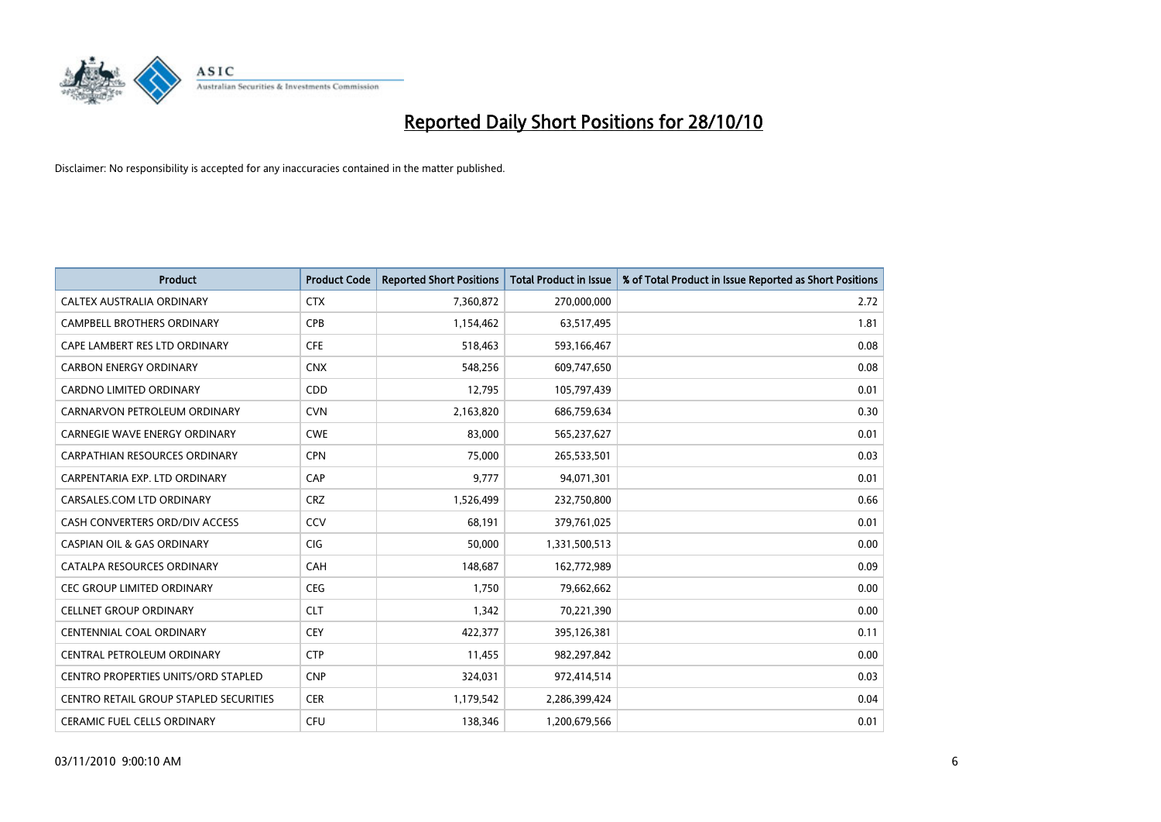

| <b>Product</b>                         | <b>Product Code</b> | <b>Reported Short Positions</b> | Total Product in Issue | % of Total Product in Issue Reported as Short Positions |
|----------------------------------------|---------------------|---------------------------------|------------------------|---------------------------------------------------------|
| CALTEX AUSTRALIA ORDINARY              | <b>CTX</b>          | 7,360,872                       | 270,000,000            | 2.72                                                    |
| CAMPBELL BROTHERS ORDINARY             | <b>CPB</b>          | 1,154,462                       | 63,517,495             | 1.81                                                    |
| CAPE LAMBERT RES LTD ORDINARY          | <b>CFE</b>          | 518,463                         | 593,166,467            | 0.08                                                    |
| <b>CARBON ENERGY ORDINARY</b>          | <b>CNX</b>          | 548,256                         | 609,747,650            | 0.08                                                    |
| CARDNO LIMITED ORDINARY                | CDD                 | 12,795                          | 105,797,439            | 0.01                                                    |
| CARNARVON PETROLEUM ORDINARY           | <b>CVN</b>          | 2,163,820                       | 686,759,634            | 0.30                                                    |
| <b>CARNEGIE WAVE ENERGY ORDINARY</b>   | <b>CWE</b>          | 83.000                          | 565,237,627            | 0.01                                                    |
| CARPATHIAN RESOURCES ORDINARY          | <b>CPN</b>          | 75,000                          | 265,533,501            | 0.03                                                    |
| CARPENTARIA EXP. LTD ORDINARY          | CAP                 | 9,777                           | 94,071,301             | 0.01                                                    |
| CARSALES.COM LTD ORDINARY              | <b>CRZ</b>          | 1,526,499                       | 232,750,800            | 0.66                                                    |
| CASH CONVERTERS ORD/DIV ACCESS         | CCV                 | 68,191                          | 379,761,025            | 0.01                                                    |
| <b>CASPIAN OIL &amp; GAS ORDINARY</b>  | <b>CIG</b>          | 50,000                          | 1,331,500,513          | 0.00                                                    |
| CATALPA RESOURCES ORDINARY             | CAH                 | 148,687                         | 162,772,989            | 0.09                                                    |
| <b>CEC GROUP LIMITED ORDINARY</b>      | CEG                 | 1,750                           | 79,662,662             | 0.00                                                    |
| <b>CELLNET GROUP ORDINARY</b>          | <b>CLT</b>          | 1,342                           | 70,221,390             | 0.00                                                    |
| CENTENNIAL COAL ORDINARY               | <b>CEY</b>          | 422,377                         | 395,126,381            | 0.11                                                    |
| CENTRAL PETROLEUM ORDINARY             | <b>CTP</b>          | 11,455                          | 982,297,842            | 0.00                                                    |
| CENTRO PROPERTIES UNITS/ORD STAPLED    | <b>CNP</b>          | 324,031                         | 972,414,514            | 0.03                                                    |
| CENTRO RETAIL GROUP STAPLED SECURITIES | <b>CER</b>          | 1,179,542                       | 2,286,399,424          | 0.04                                                    |
| <b>CERAMIC FUEL CELLS ORDINARY</b>     | CFU                 | 138.346                         | 1,200,679,566          | 0.01                                                    |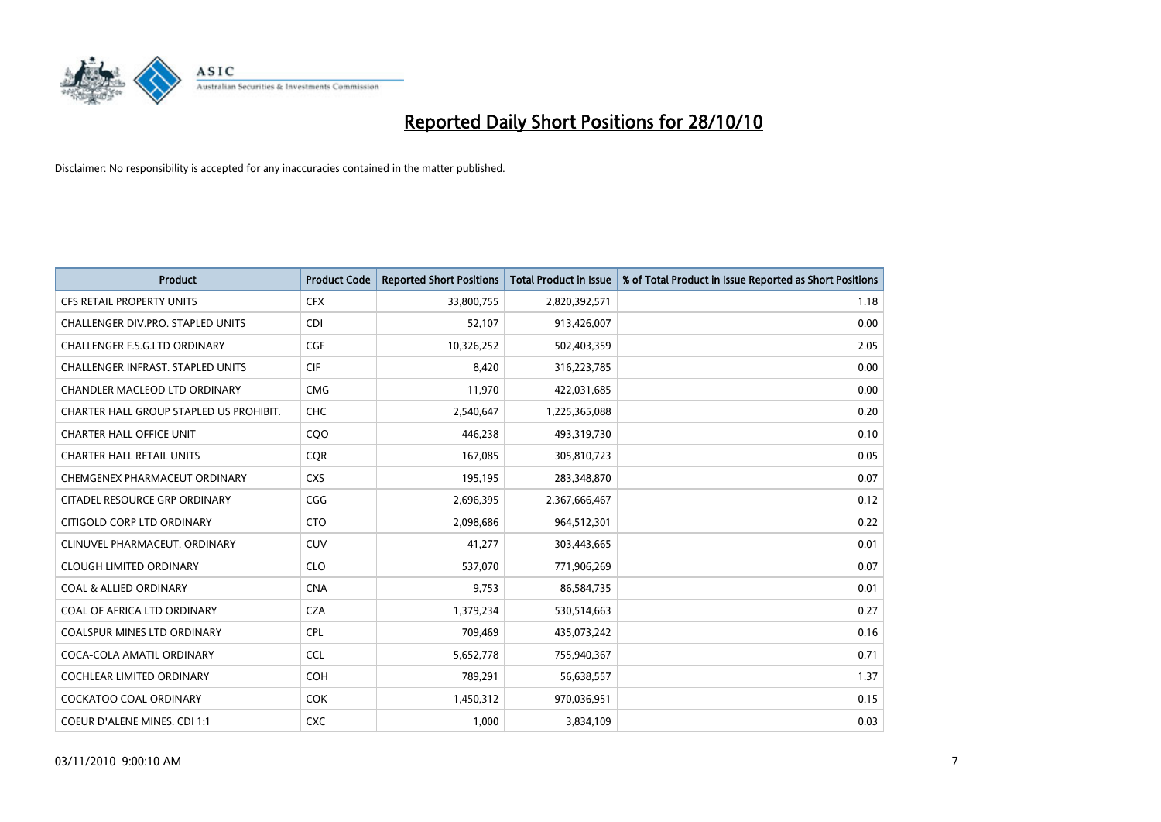

| <b>Product</b>                           | <b>Product Code</b> | <b>Reported Short Positions</b> | <b>Total Product in Issue</b> | % of Total Product in Issue Reported as Short Positions |
|------------------------------------------|---------------------|---------------------------------|-------------------------------|---------------------------------------------------------|
| <b>CFS RETAIL PROPERTY UNITS</b>         | <b>CFX</b>          | 33,800,755                      | 2,820,392,571                 | 1.18                                                    |
| CHALLENGER DIV.PRO. STAPLED UNITS        | <b>CDI</b>          | 52,107                          | 913,426,007                   | 0.00                                                    |
| <b>CHALLENGER F.S.G.LTD ORDINARY</b>     | CGF                 | 10,326,252                      | 502,403,359                   | 2.05                                                    |
| <b>CHALLENGER INFRAST, STAPLED UNITS</b> | <b>CIF</b>          | 8,420                           | 316,223,785                   | 0.00                                                    |
| <b>CHANDLER MACLEOD LTD ORDINARY</b>     | <b>CMG</b>          | 11,970                          | 422,031,685                   | 0.00                                                    |
| CHARTER HALL GROUP STAPLED US PROHIBIT.  | <b>CHC</b>          | 2,540,647                       | 1,225,365,088                 | 0.20                                                    |
| <b>CHARTER HALL OFFICE UNIT</b>          | COO                 | 446,238                         | 493,319,730                   | 0.10                                                    |
| <b>CHARTER HALL RETAIL UNITS</b>         | <b>COR</b>          | 167,085                         | 305,810,723                   | 0.05                                                    |
| CHEMGENEX PHARMACEUT ORDINARY            | <b>CXS</b>          | 195,195                         | 283,348,870                   | 0.07                                                    |
| CITADEL RESOURCE GRP ORDINARY            | CGG                 | 2,696,395                       | 2,367,666,467                 | 0.12                                                    |
| CITIGOLD CORP LTD ORDINARY               | <b>CTO</b>          | 2,098,686                       | 964,512,301                   | 0.22                                                    |
| CLINUVEL PHARMACEUT, ORDINARY            | <b>CUV</b>          | 41,277                          | 303,443,665                   | 0.01                                                    |
| <b>CLOUGH LIMITED ORDINARY</b>           | <b>CLO</b>          | 537,070                         | 771,906,269                   | 0.07                                                    |
| <b>COAL &amp; ALLIED ORDINARY</b>        | <b>CNA</b>          | 9,753                           | 86,584,735                    | 0.01                                                    |
| COAL OF AFRICA LTD ORDINARY              | <b>CZA</b>          | 1,379,234                       | 530,514,663                   | 0.27                                                    |
| <b>COALSPUR MINES LTD ORDINARY</b>       | <b>CPL</b>          | 709,469                         | 435,073,242                   | 0.16                                                    |
| COCA-COLA AMATIL ORDINARY                | <b>CCL</b>          | 5,652,778                       | 755,940,367                   | 0.71                                                    |
| COCHLEAR LIMITED ORDINARY                | <b>COH</b>          | 789,291                         | 56,638,557                    | 1.37                                                    |
| <b>COCKATOO COAL ORDINARY</b>            | <b>COK</b>          | 1,450,312                       | 970,036,951                   | 0.15                                                    |
| COEUR D'ALENE MINES. CDI 1:1             | <b>CXC</b>          | 1,000                           | 3,834,109                     | 0.03                                                    |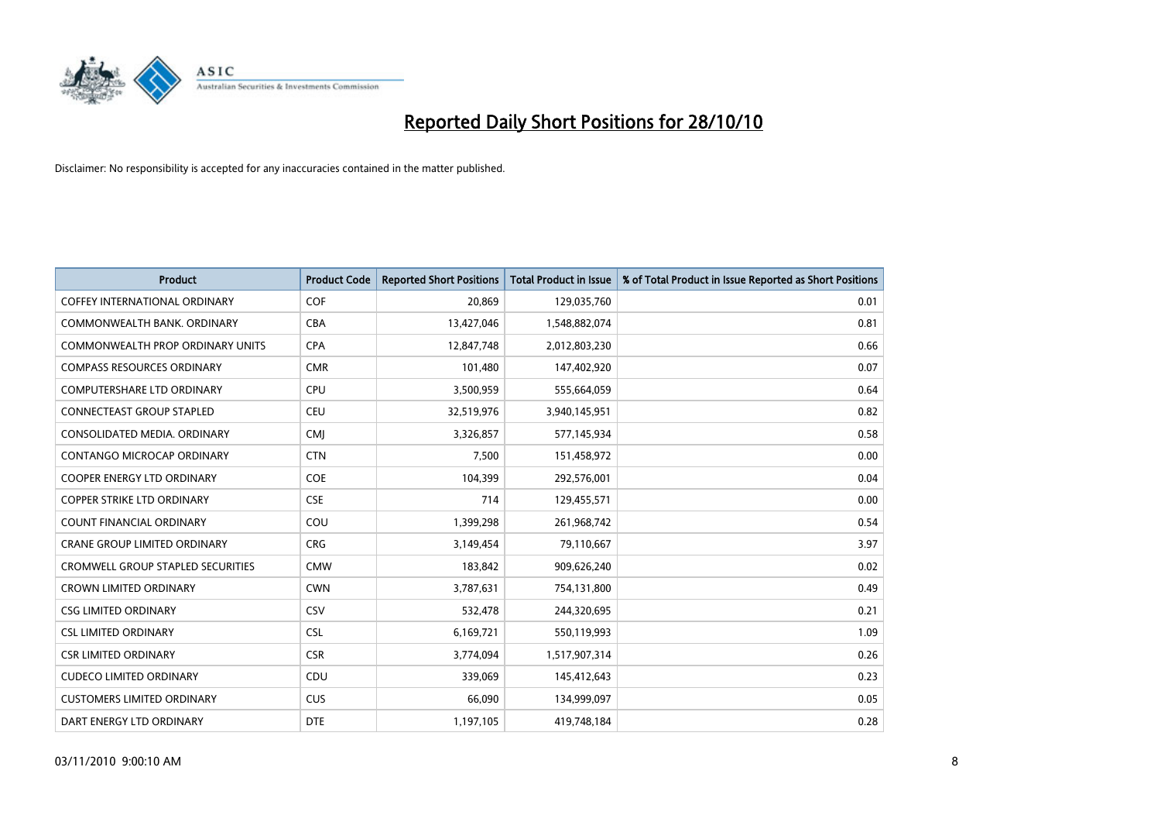

| <b>Product</b>                           | <b>Product Code</b> | <b>Reported Short Positions</b> | <b>Total Product in Issue</b> | % of Total Product in Issue Reported as Short Positions |
|------------------------------------------|---------------------|---------------------------------|-------------------------------|---------------------------------------------------------|
| <b>COFFEY INTERNATIONAL ORDINARY</b>     | COF                 | 20.869                          | 129,035,760                   | 0.01                                                    |
| COMMONWEALTH BANK, ORDINARY              | <b>CBA</b>          | 13,427,046                      | 1,548,882,074                 | 0.81                                                    |
| COMMONWEALTH PROP ORDINARY UNITS         | <b>CPA</b>          | 12,847,748                      | 2,012,803,230                 | 0.66                                                    |
| <b>COMPASS RESOURCES ORDINARY</b>        | <b>CMR</b>          | 101,480                         | 147,402,920                   | 0.07                                                    |
| <b>COMPUTERSHARE LTD ORDINARY</b>        | <b>CPU</b>          | 3,500,959                       | 555,664,059                   | 0.64                                                    |
| CONNECTEAST GROUP STAPLED                | <b>CEU</b>          | 32,519,976                      | 3,940,145,951                 | 0.82                                                    |
| CONSOLIDATED MEDIA, ORDINARY             | <b>CMI</b>          | 3,326,857                       | 577,145,934                   | 0.58                                                    |
| CONTANGO MICROCAP ORDINARY               | <b>CTN</b>          | 7,500                           | 151,458,972                   | 0.00                                                    |
| <b>COOPER ENERGY LTD ORDINARY</b>        | <b>COE</b>          | 104,399                         | 292,576,001                   | 0.04                                                    |
| <b>COPPER STRIKE LTD ORDINARY</b>        | <b>CSE</b>          | 714                             | 129,455,571                   | 0.00                                                    |
| <b>COUNT FINANCIAL ORDINARY</b>          | COU                 | 1,399,298                       | 261,968,742                   | 0.54                                                    |
| <b>CRANE GROUP LIMITED ORDINARY</b>      | <b>CRG</b>          | 3,149,454                       | 79,110,667                    | 3.97                                                    |
| <b>CROMWELL GROUP STAPLED SECURITIES</b> | <b>CMW</b>          | 183,842                         | 909,626,240                   | 0.02                                                    |
| <b>CROWN LIMITED ORDINARY</b>            | <b>CWN</b>          | 3,787,631                       | 754,131,800                   | 0.49                                                    |
| <b>CSG LIMITED ORDINARY</b>              | CSV                 | 532,478                         | 244,320,695                   | 0.21                                                    |
| <b>CSL LIMITED ORDINARY</b>              | <b>CSL</b>          | 6,169,721                       | 550,119,993                   | 1.09                                                    |
| <b>CSR LIMITED ORDINARY</b>              | <b>CSR</b>          | 3,774,094                       | 1,517,907,314                 | 0.26                                                    |
| <b>CUDECO LIMITED ORDINARY</b>           | CDU                 | 339,069                         | 145,412,643                   | 0.23                                                    |
| <b>CUSTOMERS LIMITED ORDINARY</b>        | CUS                 | 66,090                          | 134,999,097                   | 0.05                                                    |
| DART ENERGY LTD ORDINARY                 | <b>DTE</b>          | 1,197,105                       | 419,748,184                   | 0.28                                                    |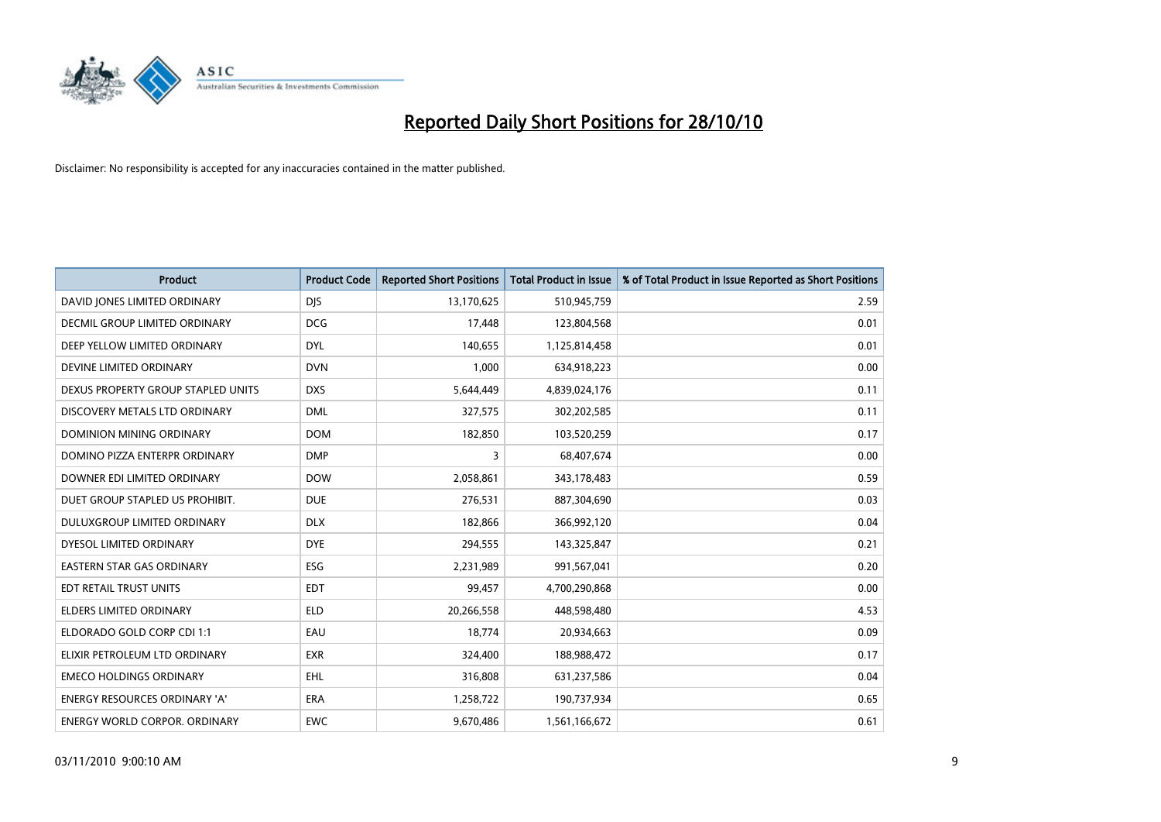

| <b>Product</b>                       | <b>Product Code</b> | <b>Reported Short Positions</b> | Total Product in Issue | % of Total Product in Issue Reported as Short Positions |
|--------------------------------------|---------------------|---------------------------------|------------------------|---------------------------------------------------------|
| DAVID JONES LIMITED ORDINARY         | <b>DJS</b>          | 13,170,625                      | 510,945,759            | 2.59                                                    |
| DECMIL GROUP LIMITED ORDINARY        | <b>DCG</b>          | 17,448                          | 123,804,568            | 0.01                                                    |
| DEEP YELLOW LIMITED ORDINARY         | <b>DYL</b>          | 140,655                         | 1,125,814,458          | 0.01                                                    |
| DEVINE LIMITED ORDINARY              | <b>DVN</b>          | 1,000                           | 634,918,223            | 0.00                                                    |
| DEXUS PROPERTY GROUP STAPLED UNITS   | <b>DXS</b>          | 5,644,449                       | 4,839,024,176          | 0.11                                                    |
| DISCOVERY METALS LTD ORDINARY        | <b>DML</b>          | 327,575                         | 302,202,585            | 0.11                                                    |
| DOMINION MINING ORDINARY             | <b>DOM</b>          | 182,850                         | 103,520,259            | 0.17                                                    |
| DOMINO PIZZA ENTERPR ORDINARY        | <b>DMP</b>          | 3                               | 68,407,674             | 0.00                                                    |
| DOWNER EDI LIMITED ORDINARY          | <b>DOW</b>          | 2,058,861                       | 343,178,483            | 0.59                                                    |
| DUET GROUP STAPLED US PROHIBIT.      | <b>DUE</b>          | 276,531                         | 887,304,690            | 0.03                                                    |
| DULUXGROUP LIMITED ORDINARY          | <b>DLX</b>          | 182,866                         | 366,992,120            | 0.04                                                    |
| DYESOL LIMITED ORDINARY              | <b>DYE</b>          | 294,555                         | 143,325,847            | 0.21                                                    |
| <b>EASTERN STAR GAS ORDINARY</b>     | ESG                 | 2,231,989                       | 991,567,041            | 0.20                                                    |
| EDT RETAIL TRUST UNITS               | <b>EDT</b>          | 99,457                          | 4,700,290,868          | 0.00                                                    |
| <b>ELDERS LIMITED ORDINARY</b>       | <b>ELD</b>          | 20,266,558                      | 448,598,480            | 4.53                                                    |
| ELDORADO GOLD CORP CDI 1:1           | EAU                 | 18,774                          | 20,934,663             | 0.09                                                    |
| ELIXIR PETROLEUM LTD ORDINARY        | <b>EXR</b>          | 324,400                         | 188,988,472            | 0.17                                                    |
| <b>EMECO HOLDINGS ORDINARY</b>       | <b>EHL</b>          | 316,808                         | 631,237,586            | 0.04                                                    |
| <b>ENERGY RESOURCES ORDINARY 'A'</b> | <b>ERA</b>          | 1,258,722                       | 190,737,934            | 0.65                                                    |
| ENERGY WORLD CORPOR, ORDINARY        | <b>EWC</b>          | 9,670,486                       | 1,561,166,672          | 0.61                                                    |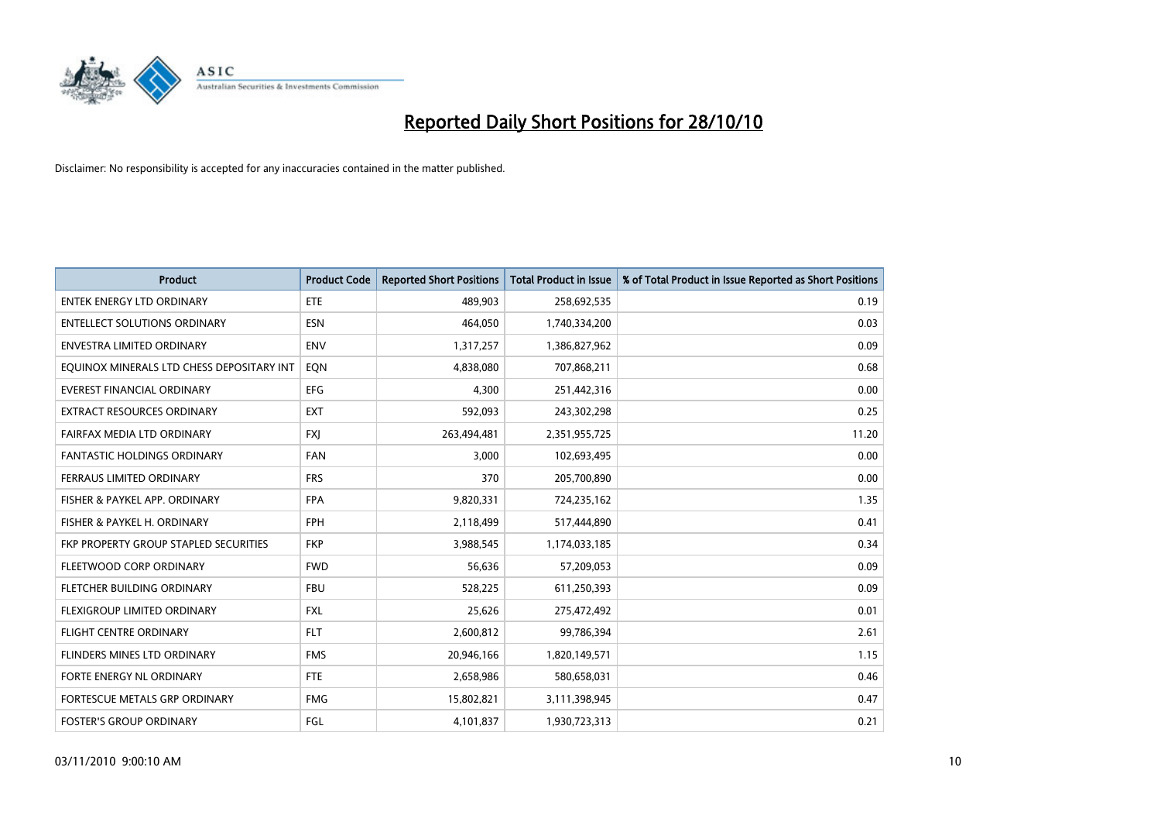

| <b>Product</b>                            | <b>Product Code</b> | <b>Reported Short Positions</b> | <b>Total Product in Issue</b> | % of Total Product in Issue Reported as Short Positions |
|-------------------------------------------|---------------------|---------------------------------|-------------------------------|---------------------------------------------------------|
| <b>ENTEK ENERGY LTD ORDINARY</b>          | ETE                 | 489,903                         | 258,692,535                   | 0.19                                                    |
| <b>ENTELLECT SOLUTIONS ORDINARY</b>       | <b>ESN</b>          | 464,050                         | 1,740,334,200                 | 0.03                                                    |
| ENVESTRA LIMITED ORDINARY                 | ENV                 | 1,317,257                       | 1,386,827,962                 | 0.09                                                    |
| EQUINOX MINERALS LTD CHESS DEPOSITARY INT | EON                 | 4,838,080                       | 707,868,211                   | 0.68                                                    |
| <b>EVEREST FINANCIAL ORDINARY</b>         | <b>EFG</b>          | 4,300                           | 251,442,316                   | 0.00                                                    |
| <b>EXTRACT RESOURCES ORDINARY</b>         | <b>EXT</b>          | 592,093                         | 243,302,298                   | 0.25                                                    |
| FAIRFAX MEDIA LTD ORDINARY                | <b>FXI</b>          | 263,494,481                     | 2,351,955,725                 | 11.20                                                   |
| FANTASTIC HOLDINGS ORDINARY               | <b>FAN</b>          | 3,000                           | 102,693,495                   | 0.00                                                    |
| FERRAUS LIMITED ORDINARY                  | <b>FRS</b>          | 370                             | 205,700,890                   | 0.00                                                    |
| FISHER & PAYKEL APP. ORDINARY             | <b>FPA</b>          | 9,820,331                       | 724,235,162                   | 1.35                                                    |
| FISHER & PAYKEL H. ORDINARY               | <b>FPH</b>          | 2,118,499                       | 517,444,890                   | 0.41                                                    |
| FKP PROPERTY GROUP STAPLED SECURITIES     | <b>FKP</b>          | 3,988,545                       | 1,174,033,185                 | 0.34                                                    |
| FLEETWOOD CORP ORDINARY                   | <b>FWD</b>          | 56,636                          | 57,209,053                    | 0.09                                                    |
| FLETCHER BUILDING ORDINARY                | <b>FBU</b>          | 528,225                         | 611,250,393                   | 0.09                                                    |
| FLEXIGROUP LIMITED ORDINARY               | <b>FXL</b>          | 25,626                          | 275,472,492                   | 0.01                                                    |
| <b>FLIGHT CENTRE ORDINARY</b>             | <b>FLT</b>          | 2,600,812                       | 99,786,394                    | 2.61                                                    |
| FLINDERS MINES LTD ORDINARY               | <b>FMS</b>          | 20,946,166                      | 1,820,149,571                 | 1.15                                                    |
| FORTE ENERGY NL ORDINARY                  | <b>FTE</b>          | 2,658,986                       | 580,658,031                   | 0.46                                                    |
| FORTESCUE METALS GRP ORDINARY             | <b>FMG</b>          | 15,802,821                      | 3,111,398,945                 | 0.47                                                    |
| <b>FOSTER'S GROUP ORDINARY</b>            | <b>FGL</b>          | 4,101,837                       | 1,930,723,313                 | 0.21                                                    |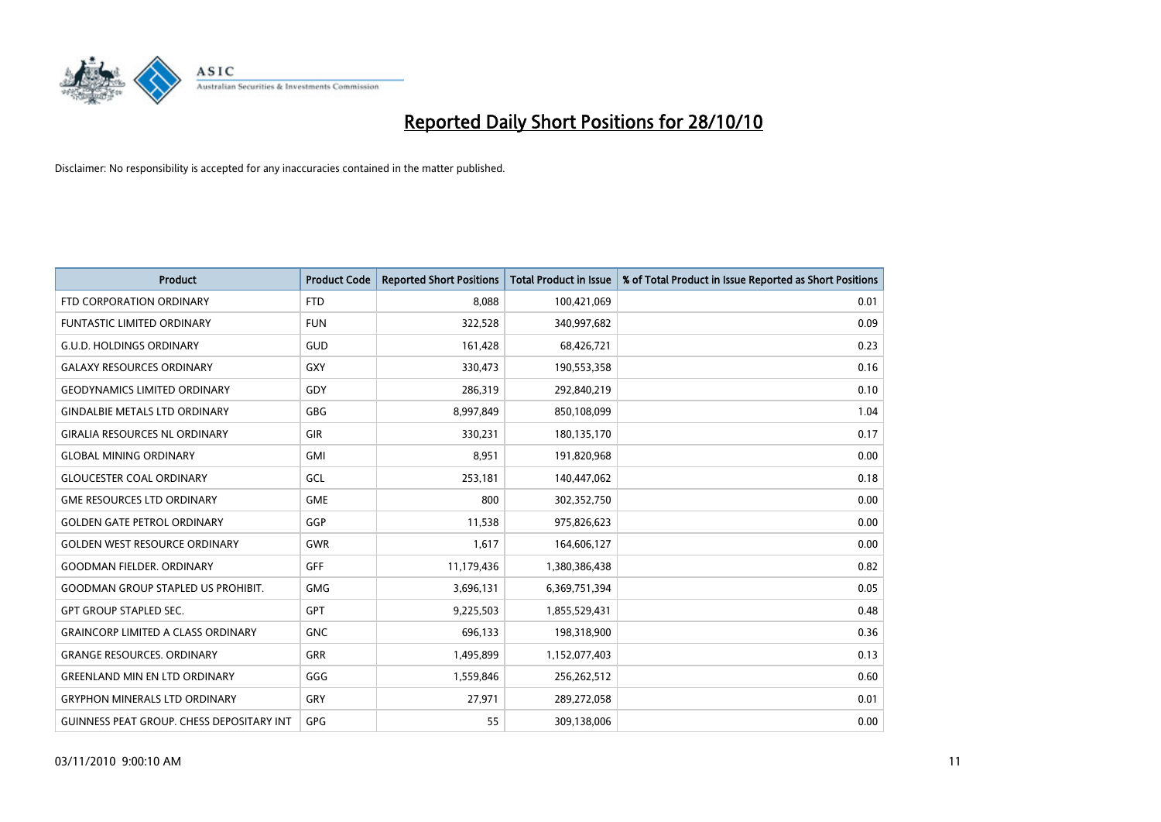

| <b>Product</b>                                   | <b>Product Code</b> | <b>Reported Short Positions</b> | <b>Total Product in Issue</b> | % of Total Product in Issue Reported as Short Positions |
|--------------------------------------------------|---------------------|---------------------------------|-------------------------------|---------------------------------------------------------|
| FTD CORPORATION ORDINARY                         | <b>FTD</b>          | 8.088                           | 100,421,069                   | 0.01                                                    |
| FUNTASTIC LIMITED ORDINARY                       | <b>FUN</b>          | 322,528                         | 340,997,682                   | 0.09                                                    |
| <b>G.U.D. HOLDINGS ORDINARY</b>                  | GUD                 | 161,428                         | 68,426,721                    | 0.23                                                    |
| <b>GALAXY RESOURCES ORDINARY</b>                 | <b>GXY</b>          | 330,473                         | 190,553,358                   | 0.16                                                    |
| <b>GEODYNAMICS LIMITED ORDINARY</b>              | <b>GDY</b>          | 286,319                         | 292,840,219                   | 0.10                                                    |
| <b>GINDALBIE METALS LTD ORDINARY</b>             | <b>GBG</b>          | 8,997,849                       | 850,108,099                   | 1.04                                                    |
| <b>GIRALIA RESOURCES NL ORDINARY</b>             | <b>GIR</b>          | 330,231                         | 180,135,170                   | 0.17                                                    |
| <b>GLOBAL MINING ORDINARY</b>                    | <b>GMI</b>          | 8,951                           | 191,820,968                   | 0.00                                                    |
| <b>GLOUCESTER COAL ORDINARY</b>                  | GCL                 | 253,181                         | 140,447,062                   | 0.18                                                    |
| <b>GME RESOURCES LTD ORDINARY</b>                | <b>GME</b>          | 800                             | 302,352,750                   | 0.00                                                    |
| <b>GOLDEN GATE PETROL ORDINARY</b>               | GGP                 | 11,538                          | 975,826,623                   | 0.00                                                    |
| <b>GOLDEN WEST RESOURCE ORDINARY</b>             | <b>GWR</b>          | 1.617                           | 164,606,127                   | 0.00                                                    |
| <b>GOODMAN FIELDER, ORDINARY</b>                 | <b>GFF</b>          | 11,179,436                      | 1,380,386,438                 | 0.82                                                    |
| <b>GOODMAN GROUP STAPLED US PROHIBIT.</b>        | <b>GMG</b>          | 3,696,131                       | 6,369,751,394                 | 0.05                                                    |
| <b>GPT GROUP STAPLED SEC.</b>                    | GPT                 | 9,225,503                       | 1,855,529,431                 | 0.48                                                    |
| <b>GRAINCORP LIMITED A CLASS ORDINARY</b>        | <b>GNC</b>          | 696,133                         | 198,318,900                   | 0.36                                                    |
| <b>GRANGE RESOURCES, ORDINARY</b>                | <b>GRR</b>          | 1,495,899                       | 1,152,077,403                 | 0.13                                                    |
| <b>GREENLAND MIN EN LTD ORDINARY</b>             | GGG                 | 1,559,846                       | 256,262,512                   | 0.60                                                    |
| <b>GRYPHON MINERALS LTD ORDINARY</b>             | GRY                 | 27,971                          | 289,272,058                   | 0.01                                                    |
| <b>GUINNESS PEAT GROUP. CHESS DEPOSITARY INT</b> | <b>GPG</b>          | 55                              | 309,138,006                   | 0.00                                                    |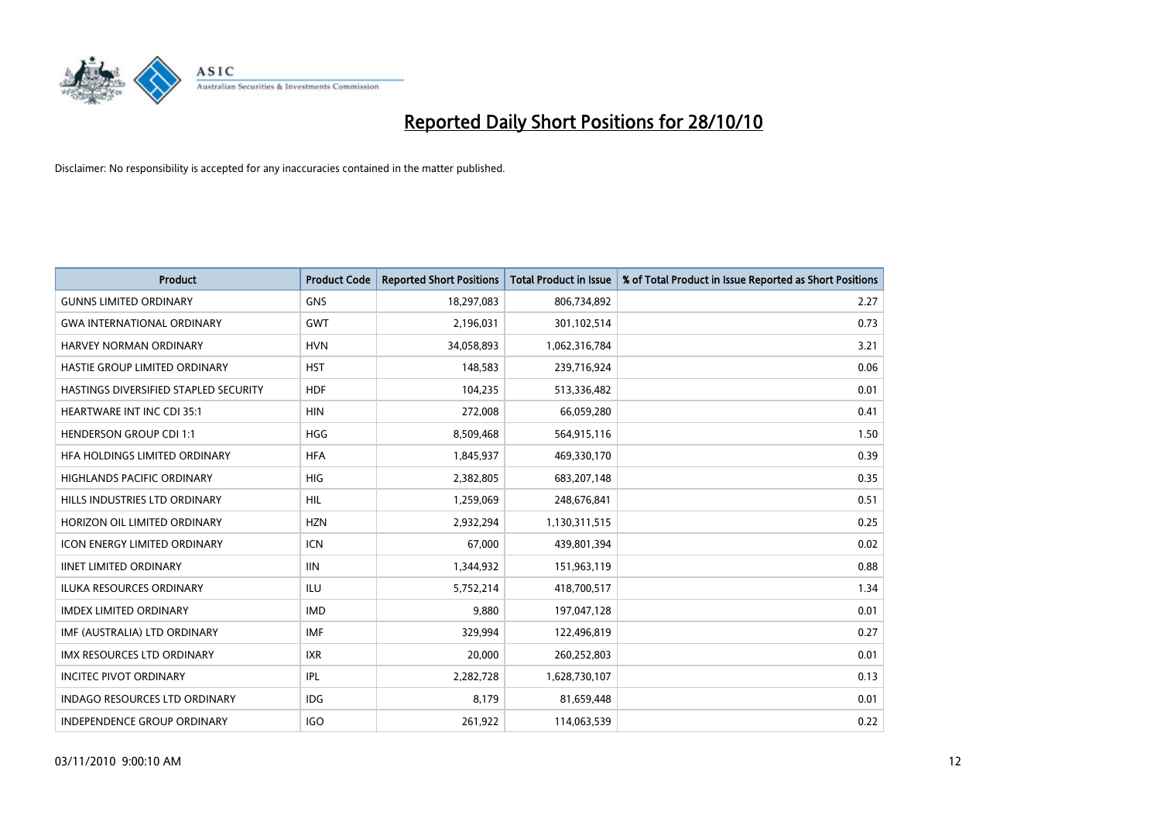

| <b>Product</b>                        | <b>Product Code</b> | <b>Reported Short Positions</b> | <b>Total Product in Issue</b> | % of Total Product in Issue Reported as Short Positions |
|---------------------------------------|---------------------|---------------------------------|-------------------------------|---------------------------------------------------------|
| <b>GUNNS LIMITED ORDINARY</b>         | <b>GNS</b>          | 18,297,083                      | 806,734,892                   | 2.27                                                    |
| <b>GWA INTERNATIONAL ORDINARY</b>     | <b>GWT</b>          | 2,196,031                       | 301,102,514                   | 0.73                                                    |
| <b>HARVEY NORMAN ORDINARY</b>         | <b>HVN</b>          | 34,058,893                      | 1,062,316,784                 | 3.21                                                    |
| HASTIE GROUP LIMITED ORDINARY         | <b>HST</b>          | 148,583                         | 239,716,924                   | 0.06                                                    |
| HASTINGS DIVERSIFIED STAPLED SECURITY | <b>HDF</b>          | 104,235                         | 513,336,482                   | 0.01                                                    |
| <b>HEARTWARE INT INC CDI 35:1</b>     | <b>HIN</b>          | 272,008                         | 66,059,280                    | 0.41                                                    |
| <b>HENDERSON GROUP CDI 1:1</b>        | <b>HGG</b>          | 8,509,468                       | 564,915,116                   | 1.50                                                    |
| HFA HOLDINGS LIMITED ORDINARY         | <b>HFA</b>          | 1,845,937                       | 469,330,170                   | 0.39                                                    |
| <b>HIGHLANDS PACIFIC ORDINARY</b>     | <b>HIG</b>          | 2,382,805                       | 683,207,148                   | 0.35                                                    |
| HILLS INDUSTRIES LTD ORDINARY         | <b>HIL</b>          | 1,259,069                       | 248,676,841                   | 0.51                                                    |
| HORIZON OIL LIMITED ORDINARY          | <b>HZN</b>          | 2,932,294                       | 1,130,311,515                 | 0.25                                                    |
| <b>ICON ENERGY LIMITED ORDINARY</b>   | <b>ICN</b>          | 67,000                          | 439,801,394                   | 0.02                                                    |
| <b>IINET LIMITED ORDINARY</b>         | <b>IIN</b>          | 1,344,932                       | 151,963,119                   | 0.88                                                    |
| <b>ILUKA RESOURCES ORDINARY</b>       | ILU                 | 5,752,214                       | 418,700,517                   | 1.34                                                    |
| <b>IMDEX LIMITED ORDINARY</b>         | <b>IMD</b>          | 9,880                           | 197,047,128                   | 0.01                                                    |
| IMF (AUSTRALIA) LTD ORDINARY          | <b>IMF</b>          | 329,994                         | 122,496,819                   | 0.27                                                    |
| IMX RESOURCES LTD ORDINARY            | <b>IXR</b>          | 20,000                          | 260,252,803                   | 0.01                                                    |
| <b>INCITEC PIVOT ORDINARY</b>         | <b>IPL</b>          | 2,282,728                       | 1,628,730,107                 | 0.13                                                    |
| INDAGO RESOURCES LTD ORDINARY         | <b>IDG</b>          | 8,179                           | 81,659,448                    | 0.01                                                    |
| INDEPENDENCE GROUP ORDINARY           | <b>IGO</b>          | 261,922                         | 114,063,539                   | 0.22                                                    |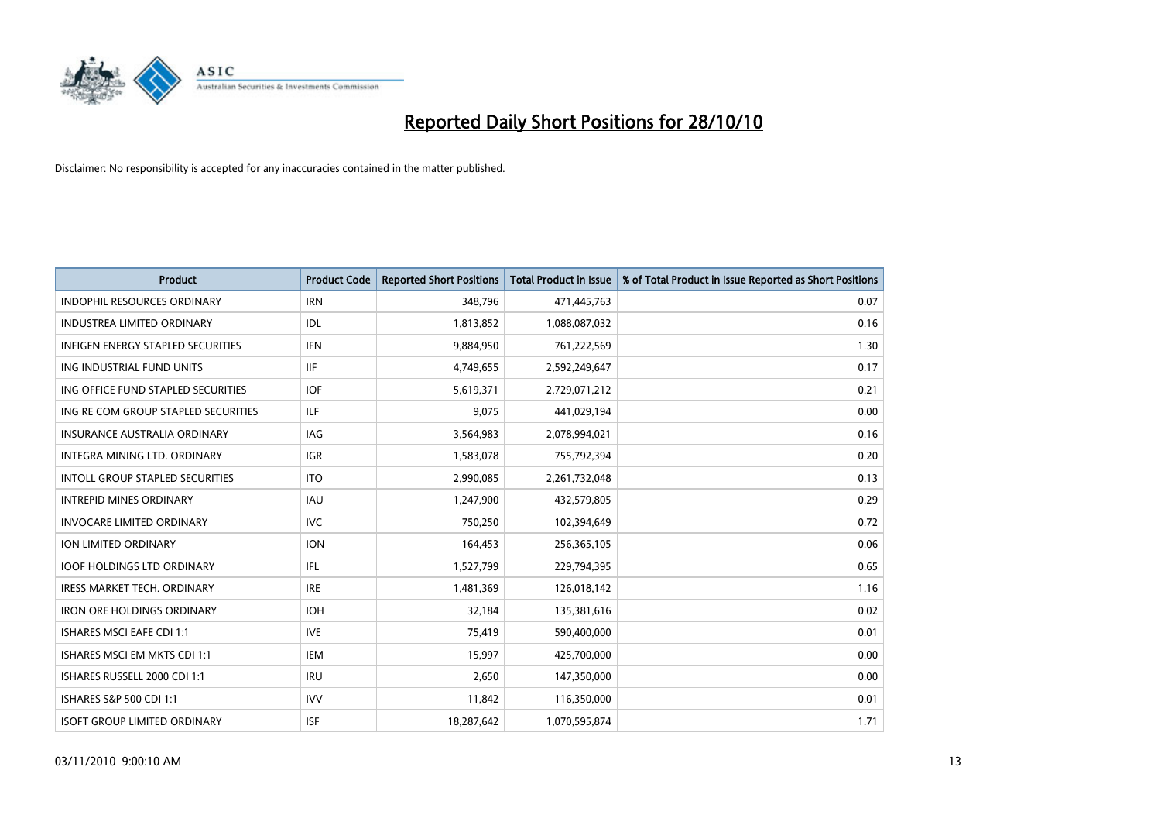

| <b>Product</b>                           | <b>Product Code</b> | <b>Reported Short Positions</b> | <b>Total Product in Issue</b> | % of Total Product in Issue Reported as Short Positions |
|------------------------------------------|---------------------|---------------------------------|-------------------------------|---------------------------------------------------------|
| <b>INDOPHIL RESOURCES ORDINARY</b>       | <b>IRN</b>          | 348,796                         | 471,445,763                   | 0.07                                                    |
| <b>INDUSTREA LIMITED ORDINARY</b>        | IDL                 | 1,813,852                       | 1,088,087,032                 | 0.16                                                    |
| <b>INFIGEN ENERGY STAPLED SECURITIES</b> | <b>IFN</b>          | 9,884,950                       | 761,222,569                   | 1.30                                                    |
| ING INDUSTRIAL FUND UNITS                | <b>IIF</b>          | 4,749,655                       | 2,592,249,647                 | 0.17                                                    |
| ING OFFICE FUND STAPLED SECURITIES       | <b>IOF</b>          | 5,619,371                       | 2,729,071,212                 | 0.21                                                    |
| ING RE COM GROUP STAPLED SECURITIES      | <b>ILF</b>          | 9,075                           | 441,029,194                   | 0.00                                                    |
| <b>INSURANCE AUSTRALIA ORDINARY</b>      | <b>IAG</b>          | 3,564,983                       | 2,078,994,021                 | 0.16                                                    |
| <b>INTEGRA MINING LTD, ORDINARY</b>      | <b>IGR</b>          | 1,583,078                       | 755,792,394                   | 0.20                                                    |
| INTOLL GROUP STAPLED SECURITIES          | <b>ITO</b>          | 2,990,085                       | 2,261,732,048                 | 0.13                                                    |
| <b>INTREPID MINES ORDINARY</b>           | <b>IAU</b>          | 1,247,900                       | 432,579,805                   | 0.29                                                    |
| <b>INVOCARE LIMITED ORDINARY</b>         | <b>IVC</b>          | 750,250                         | 102,394,649                   | 0.72                                                    |
| ION LIMITED ORDINARY                     | <b>ION</b>          | 164,453                         | 256,365,105                   | 0.06                                                    |
| <b>IOOF HOLDINGS LTD ORDINARY</b>        | <b>IFL</b>          | 1,527,799                       | 229,794,395                   | 0.65                                                    |
| <b>IRESS MARKET TECH. ORDINARY</b>       | <b>IRE</b>          | 1,481,369                       | 126,018,142                   | 1.16                                                    |
| <b>IRON ORE HOLDINGS ORDINARY</b>        | <b>IOH</b>          | 32,184                          | 135,381,616                   | 0.02                                                    |
| <b>ISHARES MSCI EAFE CDI 1:1</b>         | <b>IVE</b>          | 75,419                          | 590,400,000                   | 0.01                                                    |
| ISHARES MSCI EM MKTS CDI 1:1             | <b>IEM</b>          | 15,997                          | 425,700,000                   | 0.00                                                    |
| ISHARES RUSSELL 2000 CDI 1:1             | <b>IRU</b>          | 2,650                           | 147,350,000                   | 0.00                                                    |
| ISHARES S&P 500 CDI 1:1                  | <b>IVV</b>          | 11,842                          | 116,350,000                   | 0.01                                                    |
| <b>ISOFT GROUP LIMITED ORDINARY</b>      | <b>ISF</b>          | 18,287,642                      | 1,070,595,874                 | 1.71                                                    |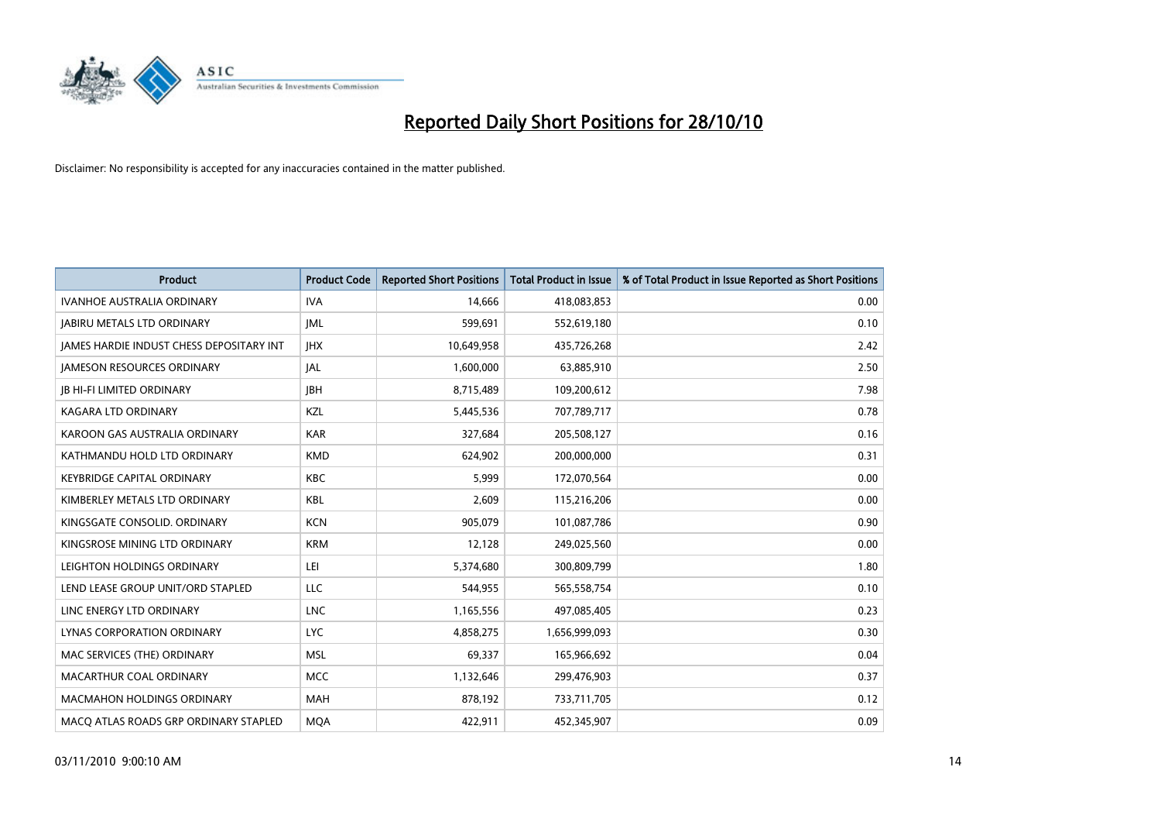

| <b>Product</b>                                  | <b>Product Code</b> | <b>Reported Short Positions</b> | <b>Total Product in Issue</b> | % of Total Product in Issue Reported as Short Positions |
|-------------------------------------------------|---------------------|---------------------------------|-------------------------------|---------------------------------------------------------|
| <b>IVANHOE AUSTRALIA ORDINARY</b>               | <b>IVA</b>          | 14.666                          | 418,083,853                   | 0.00                                                    |
| JABIRU METALS LTD ORDINARY                      | <b>JML</b>          | 599,691                         | 552,619,180                   | 0.10                                                    |
| <b>JAMES HARDIE INDUST CHESS DEPOSITARY INT</b> | <b>IHX</b>          | 10,649,958                      | 435,726,268                   | 2.42                                                    |
| <b>JAMESON RESOURCES ORDINARY</b>               | JAL                 | 1,600,000                       | 63,885,910                    | 2.50                                                    |
| <b>JB HI-FI LIMITED ORDINARY</b>                | <b>IBH</b>          | 8,715,489                       | 109,200,612                   | 7.98                                                    |
| <b>KAGARA LTD ORDINARY</b>                      | KZL                 | 5,445,536                       | 707,789,717                   | 0.78                                                    |
| KAROON GAS AUSTRALIA ORDINARY                   | <b>KAR</b>          | 327,684                         | 205,508,127                   | 0.16                                                    |
| KATHMANDU HOLD LTD ORDINARY                     | <b>KMD</b>          | 624.902                         | 200,000,000                   | 0.31                                                    |
| <b>KEYBRIDGE CAPITAL ORDINARY</b>               | <b>KBC</b>          | 5,999                           | 172,070,564                   | 0.00                                                    |
| KIMBERLEY METALS LTD ORDINARY                   | <b>KBL</b>          | 2,609                           | 115,216,206                   | 0.00                                                    |
| KINGSGATE CONSOLID. ORDINARY                    | <b>KCN</b>          | 905,079                         | 101,087,786                   | 0.90                                                    |
| KINGSROSE MINING LTD ORDINARY                   | <b>KRM</b>          | 12,128                          | 249,025,560                   | 0.00                                                    |
| LEIGHTON HOLDINGS ORDINARY                      | LEI                 | 5,374,680                       | 300,809,799                   | 1.80                                                    |
| LEND LEASE GROUP UNIT/ORD STAPLED               | LLC                 | 544,955                         | 565,558,754                   | 0.10                                                    |
| LINC ENERGY LTD ORDINARY                        | <b>LNC</b>          | 1,165,556                       | 497,085,405                   | 0.23                                                    |
| LYNAS CORPORATION ORDINARY                      | <b>LYC</b>          | 4,858,275                       | 1,656,999,093                 | 0.30                                                    |
| MAC SERVICES (THE) ORDINARY                     | <b>MSL</b>          | 69,337                          | 165,966,692                   | 0.04                                                    |
| MACARTHUR COAL ORDINARY                         | <b>MCC</b>          | 1,132,646                       | 299,476,903                   | 0.37                                                    |
| <b>MACMAHON HOLDINGS ORDINARY</b>               | <b>MAH</b>          | 878,192                         | 733,711,705                   | 0.12                                                    |
| MACO ATLAS ROADS GRP ORDINARY STAPLED           | <b>MOA</b>          | 422,911                         | 452,345,907                   | 0.09                                                    |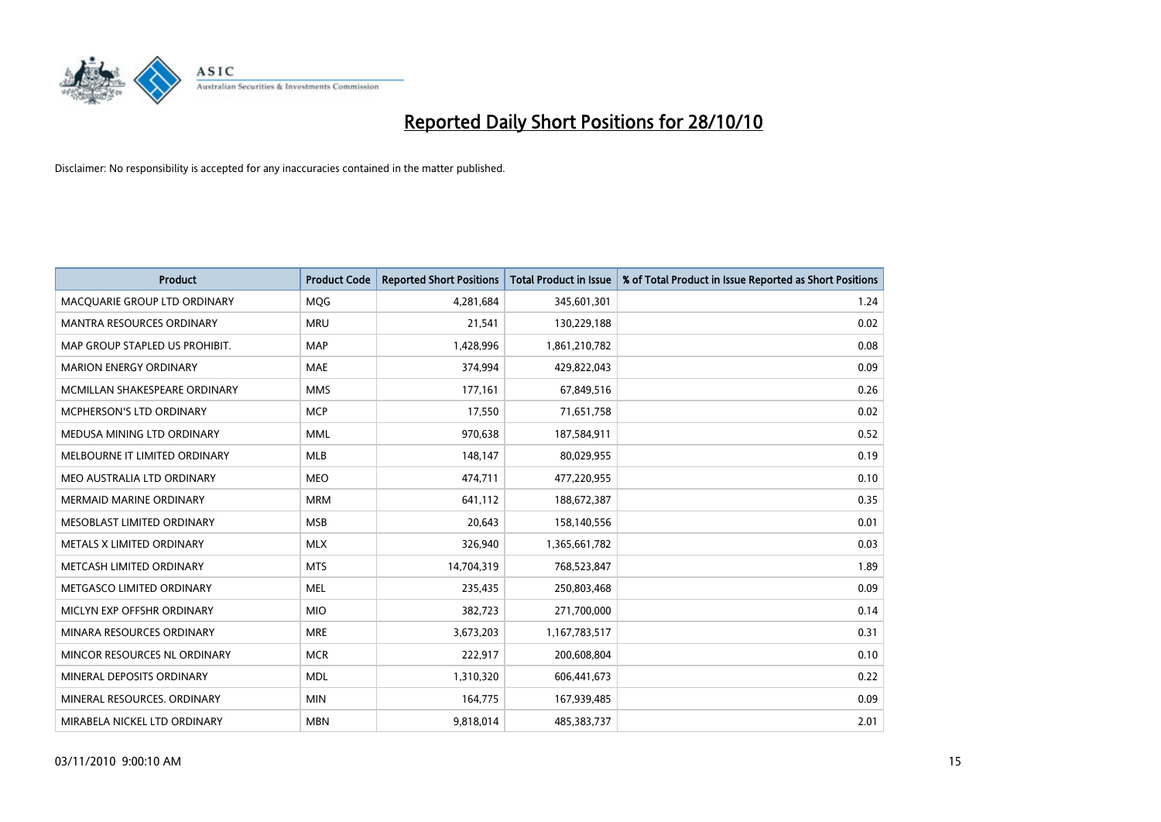

| <b>Product</b>                   | <b>Product Code</b> | <b>Reported Short Positions</b> | <b>Total Product in Issue</b> | % of Total Product in Issue Reported as Short Positions |
|----------------------------------|---------------------|---------------------------------|-------------------------------|---------------------------------------------------------|
| MACQUARIE GROUP LTD ORDINARY     | <b>MQG</b>          | 4,281,684                       | 345,601,301                   | 1.24                                                    |
| <b>MANTRA RESOURCES ORDINARY</b> | <b>MRU</b>          | 21,541                          | 130,229,188                   | 0.02                                                    |
| MAP GROUP STAPLED US PROHIBIT.   | <b>MAP</b>          | 1,428,996                       | 1,861,210,782                 | 0.08                                                    |
| <b>MARION ENERGY ORDINARY</b>    | <b>MAE</b>          | 374,994                         | 429,822,043                   | 0.09                                                    |
| MCMILLAN SHAKESPEARE ORDINARY    | <b>MMS</b>          | 177,161                         | 67,849,516                    | 0.26                                                    |
| <b>MCPHERSON'S LTD ORDINARY</b>  | <b>MCP</b>          | 17,550                          | 71,651,758                    | 0.02                                                    |
| MEDUSA MINING LTD ORDINARY       | <b>MML</b>          | 970.638                         | 187,584,911                   | 0.52                                                    |
| MELBOURNE IT LIMITED ORDINARY    | <b>MLB</b>          | 148,147                         | 80,029,955                    | 0.19                                                    |
| MEO AUSTRALIA LTD ORDINARY       | <b>MEO</b>          | 474,711                         | 477,220,955                   | 0.10                                                    |
| <b>MERMAID MARINE ORDINARY</b>   | <b>MRM</b>          | 641,112                         | 188,672,387                   | 0.35                                                    |
| MESOBLAST LIMITED ORDINARY       | <b>MSB</b>          | 20,643                          | 158,140,556                   | 0.01                                                    |
| METALS X LIMITED ORDINARY        | <b>MLX</b>          | 326,940                         | 1,365,661,782                 | 0.03                                                    |
| METCASH LIMITED ORDINARY         | <b>MTS</b>          | 14,704,319                      | 768,523,847                   | 1.89                                                    |
| METGASCO LIMITED ORDINARY        | <b>MEL</b>          | 235,435                         | 250,803,468                   | 0.09                                                    |
| MICLYN EXP OFFSHR ORDINARY       | <b>MIO</b>          | 382,723                         | 271,700,000                   | 0.14                                                    |
| MINARA RESOURCES ORDINARY        | <b>MRE</b>          | 3,673,203                       | 1,167,783,517                 | 0.31                                                    |
| MINCOR RESOURCES NL ORDINARY     | <b>MCR</b>          | 222,917                         | 200,608,804                   | 0.10                                                    |
| MINERAL DEPOSITS ORDINARY        | <b>MDL</b>          | 1,310,320                       | 606,441,673                   | 0.22                                                    |
| MINERAL RESOURCES, ORDINARY      | <b>MIN</b>          | 164,775                         | 167,939,485                   | 0.09                                                    |
| MIRABELA NICKEL LTD ORDINARY     | <b>MBN</b>          | 9,818,014                       | 485,383,737                   | 2.01                                                    |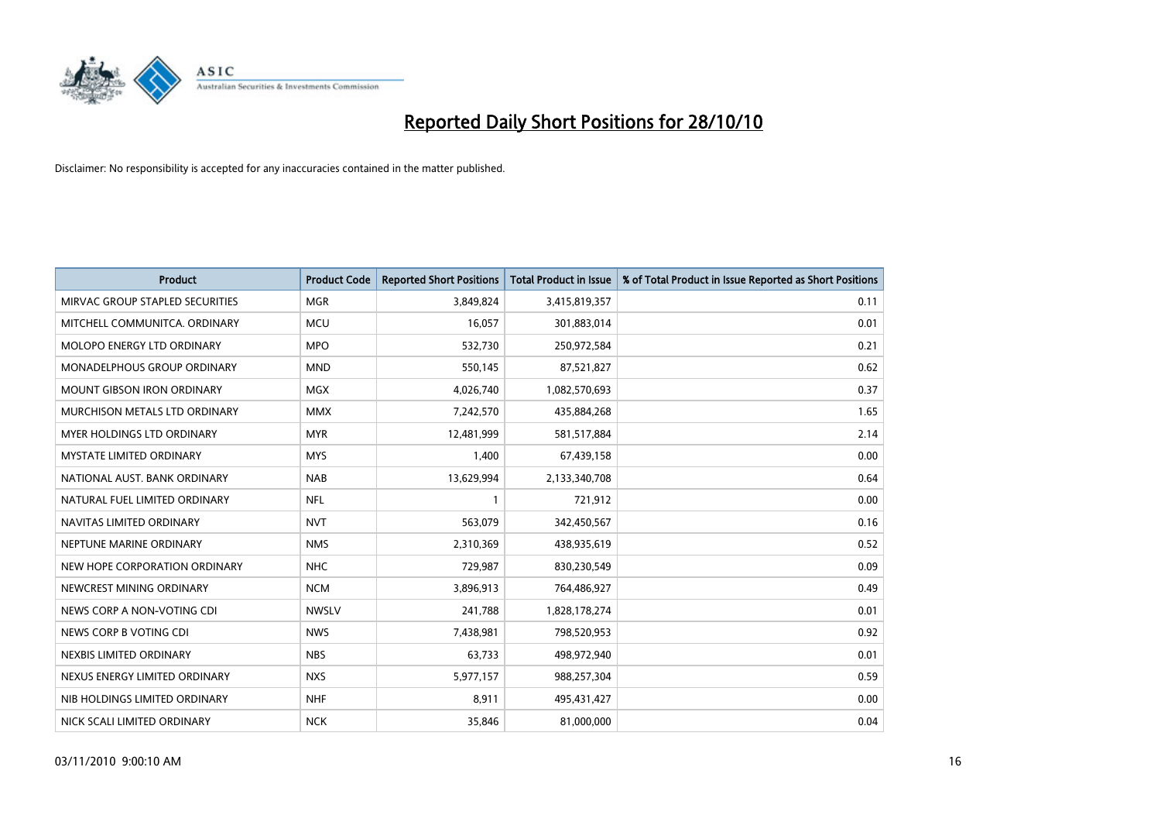

| <b>Product</b>                    | <b>Product Code</b> | <b>Reported Short Positions</b> | <b>Total Product in Issue</b> | % of Total Product in Issue Reported as Short Positions |
|-----------------------------------|---------------------|---------------------------------|-------------------------------|---------------------------------------------------------|
| MIRVAC GROUP STAPLED SECURITIES   | <b>MGR</b>          | 3,849,824                       | 3,415,819,357                 | 0.11                                                    |
| MITCHELL COMMUNITCA. ORDINARY     | <b>MCU</b>          | 16,057                          | 301,883,014                   | 0.01                                                    |
| MOLOPO ENERGY LTD ORDINARY        | <b>MPO</b>          | 532,730                         | 250,972,584                   | 0.21                                                    |
| MONADELPHOUS GROUP ORDINARY       | <b>MND</b>          | 550,145                         | 87,521,827                    | 0.62                                                    |
| <b>MOUNT GIBSON IRON ORDINARY</b> | <b>MGX</b>          | 4,026,740                       | 1,082,570,693                 | 0.37                                                    |
| MURCHISON METALS LTD ORDINARY     | <b>MMX</b>          | 7,242,570                       | 435,884,268                   | 1.65                                                    |
| MYER HOLDINGS LTD ORDINARY        | <b>MYR</b>          | 12,481,999                      | 581,517,884                   | 2.14                                                    |
| MYSTATE LIMITED ORDINARY          | <b>MYS</b>          | 1,400                           | 67,439,158                    | 0.00                                                    |
| NATIONAL AUST, BANK ORDINARY      | <b>NAB</b>          | 13,629,994                      | 2,133,340,708                 | 0.64                                                    |
| NATURAL FUEL LIMITED ORDINARY     | <b>NFL</b>          |                                 | 721,912                       | 0.00                                                    |
| NAVITAS LIMITED ORDINARY          | <b>NVT</b>          | 563,079                         | 342,450,567                   | 0.16                                                    |
| NEPTUNE MARINE ORDINARY           | <b>NMS</b>          | 2,310,369                       | 438,935,619                   | 0.52                                                    |
| NEW HOPE CORPORATION ORDINARY     | <b>NHC</b>          | 729,987                         | 830,230,549                   | 0.09                                                    |
| NEWCREST MINING ORDINARY          | <b>NCM</b>          | 3,896,913                       | 764,486,927                   | 0.49                                                    |
| NEWS CORP A NON-VOTING CDI        | <b>NWSLV</b>        | 241,788                         | 1,828,178,274                 | 0.01                                                    |
| NEWS CORP B VOTING CDI            | <b>NWS</b>          | 7,438,981                       | 798,520,953                   | 0.92                                                    |
| NEXBIS LIMITED ORDINARY           | <b>NBS</b>          | 63,733                          | 498,972,940                   | 0.01                                                    |
| NEXUS ENERGY LIMITED ORDINARY     | <b>NXS</b>          | 5,977,157                       | 988,257,304                   | 0.59                                                    |
| NIB HOLDINGS LIMITED ORDINARY     | <b>NHF</b>          | 8,911                           | 495,431,427                   | 0.00                                                    |
| NICK SCALI LIMITED ORDINARY       | <b>NCK</b>          | 35,846                          | 81,000,000                    | 0.04                                                    |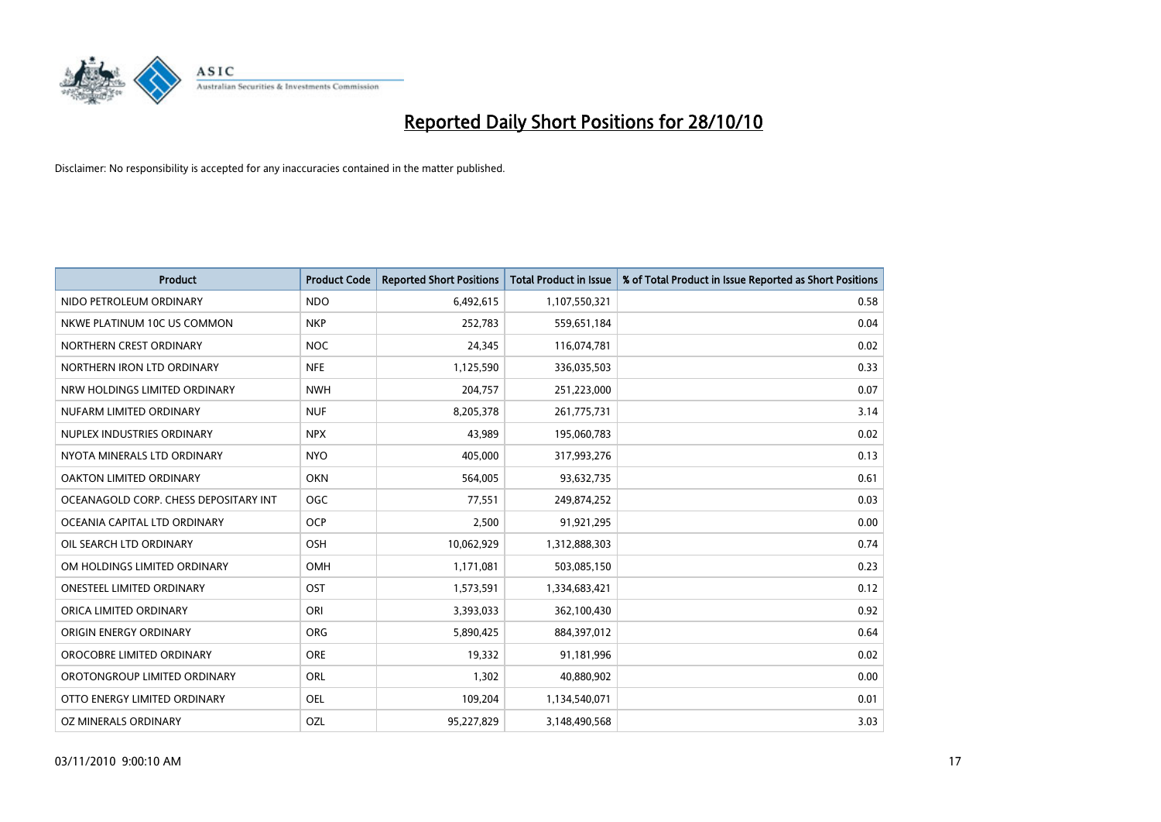

| <b>Product</b>                        | <b>Product Code</b> | <b>Reported Short Positions</b> | <b>Total Product in Issue</b> | % of Total Product in Issue Reported as Short Positions |
|---------------------------------------|---------------------|---------------------------------|-------------------------------|---------------------------------------------------------|
| NIDO PETROLEUM ORDINARY               | <b>NDO</b>          | 6,492,615                       | 1,107,550,321                 | 0.58                                                    |
| NKWE PLATINUM 10C US COMMON           | <b>NKP</b>          | 252,783                         | 559,651,184                   | 0.04                                                    |
| NORTHERN CREST ORDINARY               | <b>NOC</b>          | 24,345                          | 116,074,781                   | 0.02                                                    |
| NORTHERN IRON LTD ORDINARY            | <b>NFE</b>          | 1,125,590                       | 336,035,503                   | 0.33                                                    |
| NRW HOLDINGS LIMITED ORDINARY         | <b>NWH</b>          | 204,757                         | 251,223,000                   | 0.07                                                    |
| NUFARM LIMITED ORDINARY               | <b>NUF</b>          | 8,205,378                       | 261,775,731                   | 3.14                                                    |
| NUPLEX INDUSTRIES ORDINARY            | <b>NPX</b>          | 43.989                          | 195,060,783                   | 0.02                                                    |
| NYOTA MINERALS LTD ORDINARY           | <b>NYO</b>          | 405,000                         | 317,993,276                   | 0.13                                                    |
| OAKTON LIMITED ORDINARY               | <b>OKN</b>          | 564,005                         | 93,632,735                    | 0.61                                                    |
| OCEANAGOLD CORP. CHESS DEPOSITARY INT | <b>OGC</b>          | 77,551                          | 249,874,252                   | 0.03                                                    |
| OCEANIA CAPITAL LTD ORDINARY          | <b>OCP</b>          | 2,500                           | 91,921,295                    | 0.00                                                    |
| OIL SEARCH LTD ORDINARY               | OSH                 | 10,062,929                      | 1,312,888,303                 | 0.74                                                    |
| OM HOLDINGS LIMITED ORDINARY          | <b>OMH</b>          | 1,171,081                       | 503,085,150                   | 0.23                                                    |
| ONESTEEL LIMITED ORDINARY             | OST                 | 1,573,591                       | 1,334,683,421                 | 0.12                                                    |
| ORICA LIMITED ORDINARY                | ORI                 | 3,393,033                       | 362,100,430                   | 0.92                                                    |
| ORIGIN ENERGY ORDINARY                | <b>ORG</b>          | 5,890,425                       | 884,397,012                   | 0.64                                                    |
| OROCOBRE LIMITED ORDINARY             | <b>ORE</b>          | 19,332                          | 91,181,996                    | 0.02                                                    |
| OROTONGROUP LIMITED ORDINARY          | <b>ORL</b>          | 1,302                           | 40,880,902                    | 0.00                                                    |
| OTTO ENERGY LIMITED ORDINARY          | <b>OEL</b>          | 109,204                         | 1,134,540,071                 | 0.01                                                    |
| OZ MINERALS ORDINARY                  | OZL                 | 95,227,829                      | 3,148,490,568                 | 3.03                                                    |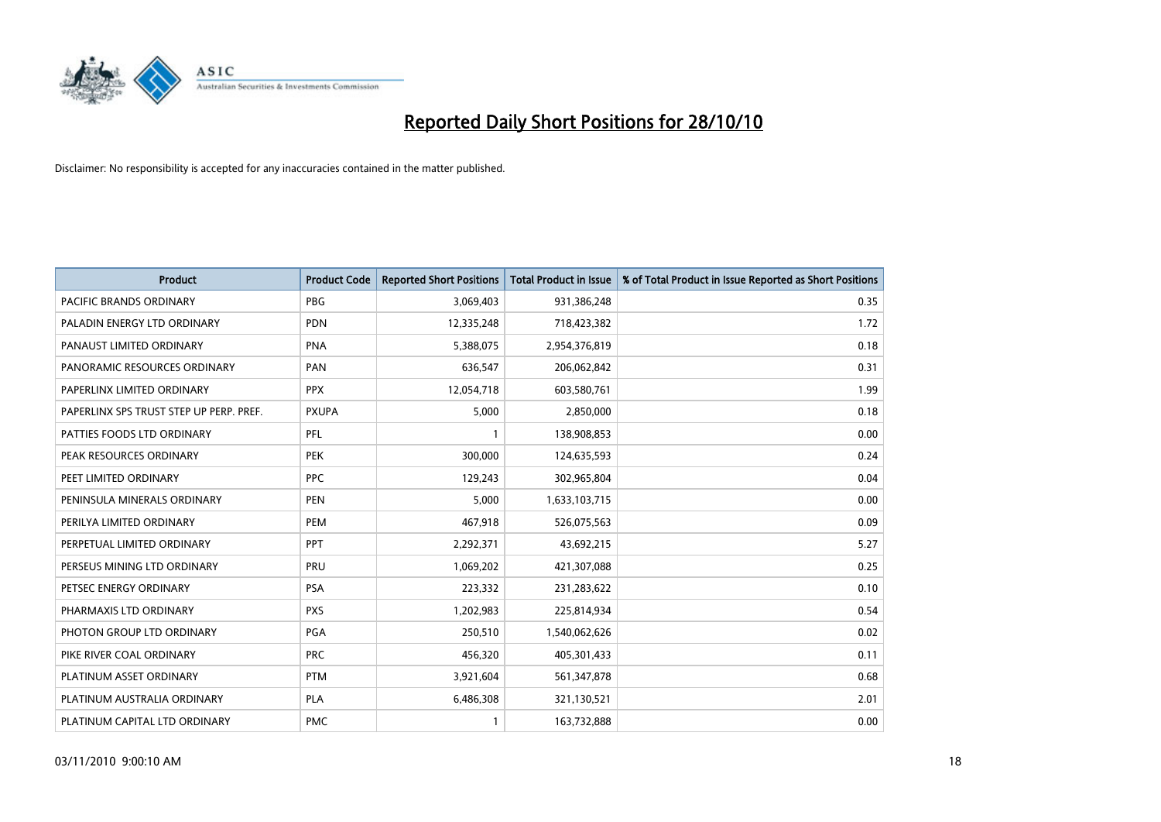

| <b>Product</b>                          | <b>Product Code</b> | <b>Reported Short Positions</b> | <b>Total Product in Issue</b> | % of Total Product in Issue Reported as Short Positions |
|-----------------------------------------|---------------------|---------------------------------|-------------------------------|---------------------------------------------------------|
| <b>PACIFIC BRANDS ORDINARY</b>          | PBG                 | 3,069,403                       | 931,386,248                   | 0.35                                                    |
| PALADIN ENERGY LTD ORDINARY             | <b>PDN</b>          | 12,335,248                      | 718,423,382                   | 1.72                                                    |
| PANAUST LIMITED ORDINARY                | <b>PNA</b>          | 5,388,075                       | 2,954,376,819                 | 0.18                                                    |
| PANORAMIC RESOURCES ORDINARY            | PAN                 | 636,547                         | 206,062,842                   | 0.31                                                    |
| PAPERLINX LIMITED ORDINARY              | <b>PPX</b>          | 12,054,718                      | 603,580,761                   | 1.99                                                    |
| PAPERLINX SPS TRUST STEP UP PERP. PREF. | <b>PXUPA</b>        | 5,000                           | 2,850,000                     | 0.18                                                    |
| PATTIES FOODS LTD ORDINARY              | PFL                 |                                 | 138,908,853                   | 0.00                                                    |
| PEAK RESOURCES ORDINARY                 | <b>PEK</b>          | 300,000                         | 124,635,593                   | 0.24                                                    |
| PEET LIMITED ORDINARY                   | PPC                 | 129,243                         | 302,965,804                   | 0.04                                                    |
| PENINSULA MINERALS ORDINARY             | <b>PEN</b>          | 5,000                           | 1,633,103,715                 | 0.00                                                    |
| PERILYA LIMITED ORDINARY                | PEM                 | 467,918                         | 526,075,563                   | 0.09                                                    |
| PERPETUAL LIMITED ORDINARY              | <b>PPT</b>          | 2,292,371                       | 43,692,215                    | 5.27                                                    |
| PERSEUS MINING LTD ORDINARY             | PRU                 | 1,069,202                       | 421,307,088                   | 0.25                                                    |
| PETSEC ENERGY ORDINARY                  | <b>PSA</b>          | 223,332                         | 231,283,622                   | 0.10                                                    |
| PHARMAXIS LTD ORDINARY                  | <b>PXS</b>          | 1,202,983                       | 225,814,934                   | 0.54                                                    |
| PHOTON GROUP LTD ORDINARY               | PGA                 | 250,510                         | 1,540,062,626                 | 0.02                                                    |
| PIKE RIVER COAL ORDINARY                | <b>PRC</b>          | 456,320                         | 405,301,433                   | 0.11                                                    |
| PLATINUM ASSET ORDINARY                 | <b>PTM</b>          | 3,921,604                       | 561,347,878                   | 0.68                                                    |
| PLATINUM AUSTRALIA ORDINARY             | <b>PLA</b>          | 6,486,308                       | 321,130,521                   | 2.01                                                    |
| PLATINUM CAPITAL LTD ORDINARY           | <b>PMC</b>          |                                 | 163,732,888                   | 0.00                                                    |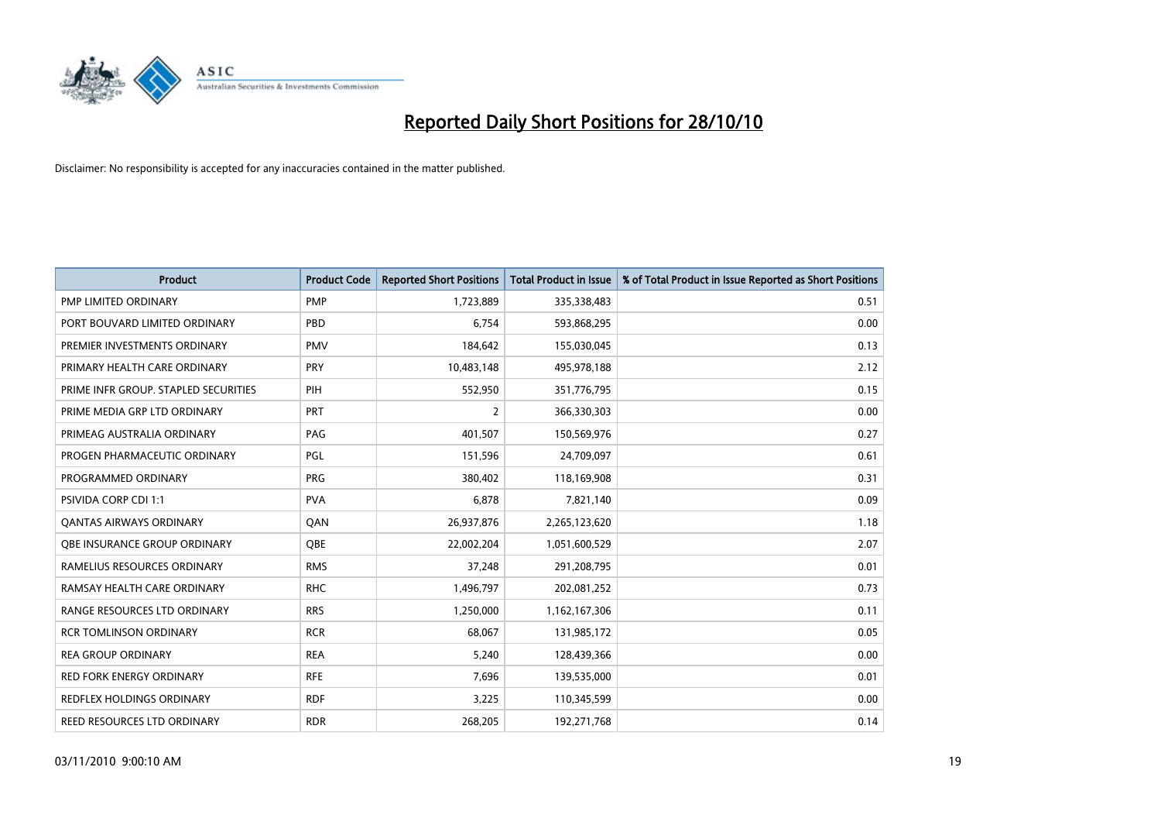

| <b>Product</b>                       | <b>Product Code</b> | <b>Reported Short Positions</b> | <b>Total Product in Issue</b> | % of Total Product in Issue Reported as Short Positions |
|--------------------------------------|---------------------|---------------------------------|-------------------------------|---------------------------------------------------------|
| PMP LIMITED ORDINARY                 | <b>PMP</b>          | 1,723,889                       | 335,338,483                   | 0.51                                                    |
| PORT BOUVARD LIMITED ORDINARY        | PBD                 | 6,754                           | 593,868,295                   | 0.00                                                    |
| PREMIER INVESTMENTS ORDINARY         | <b>PMV</b>          | 184,642                         | 155,030,045                   | 0.13                                                    |
| PRIMARY HEALTH CARE ORDINARY         | <b>PRY</b>          | 10,483,148                      | 495,978,188                   | 2.12                                                    |
| PRIME INFR GROUP. STAPLED SECURITIES | PIH                 | 552,950                         | 351,776,795                   | 0.15                                                    |
| PRIME MEDIA GRP LTD ORDINARY         | PRT                 | $\overline{2}$                  | 366,330,303                   | 0.00                                                    |
| PRIMEAG AUSTRALIA ORDINARY           | PAG                 | 401.507                         | 150,569,976                   | 0.27                                                    |
| PROGEN PHARMACEUTIC ORDINARY         | PGL                 | 151,596                         | 24,709,097                    | 0.61                                                    |
| PROGRAMMED ORDINARY                  | <b>PRG</b>          | 380,402                         | 118,169,908                   | 0.31                                                    |
| <b>PSIVIDA CORP CDI 1:1</b>          | <b>PVA</b>          | 6,878                           | 7,821,140                     | 0.09                                                    |
| QANTAS AIRWAYS ORDINARY              | QAN                 | 26,937,876                      | 2,265,123,620                 | 1.18                                                    |
| <b>OBE INSURANCE GROUP ORDINARY</b>  | <b>OBE</b>          | 22,002,204                      | 1,051,600,529                 | 2.07                                                    |
| RAMELIUS RESOURCES ORDINARY          | <b>RMS</b>          | 37,248                          | 291,208,795                   | 0.01                                                    |
| RAMSAY HEALTH CARE ORDINARY          | <b>RHC</b>          | 1,496,797                       | 202,081,252                   | 0.73                                                    |
| RANGE RESOURCES LTD ORDINARY         | <b>RRS</b>          | 1,250,000                       | 1,162,167,306                 | 0.11                                                    |
| <b>RCR TOMLINSON ORDINARY</b>        | <b>RCR</b>          | 68,067                          | 131,985,172                   | 0.05                                                    |
| <b>REA GROUP ORDINARY</b>            | <b>REA</b>          | 5,240                           | 128,439,366                   | 0.00                                                    |
| <b>RED FORK ENERGY ORDINARY</b>      | <b>RFE</b>          | 7,696                           | 139,535,000                   | 0.01                                                    |
| <b>REDFLEX HOLDINGS ORDINARY</b>     | <b>RDF</b>          | 3,225                           | 110,345,599                   | 0.00                                                    |
| REED RESOURCES LTD ORDINARY          | <b>RDR</b>          | 268,205                         | 192,271,768                   | 0.14                                                    |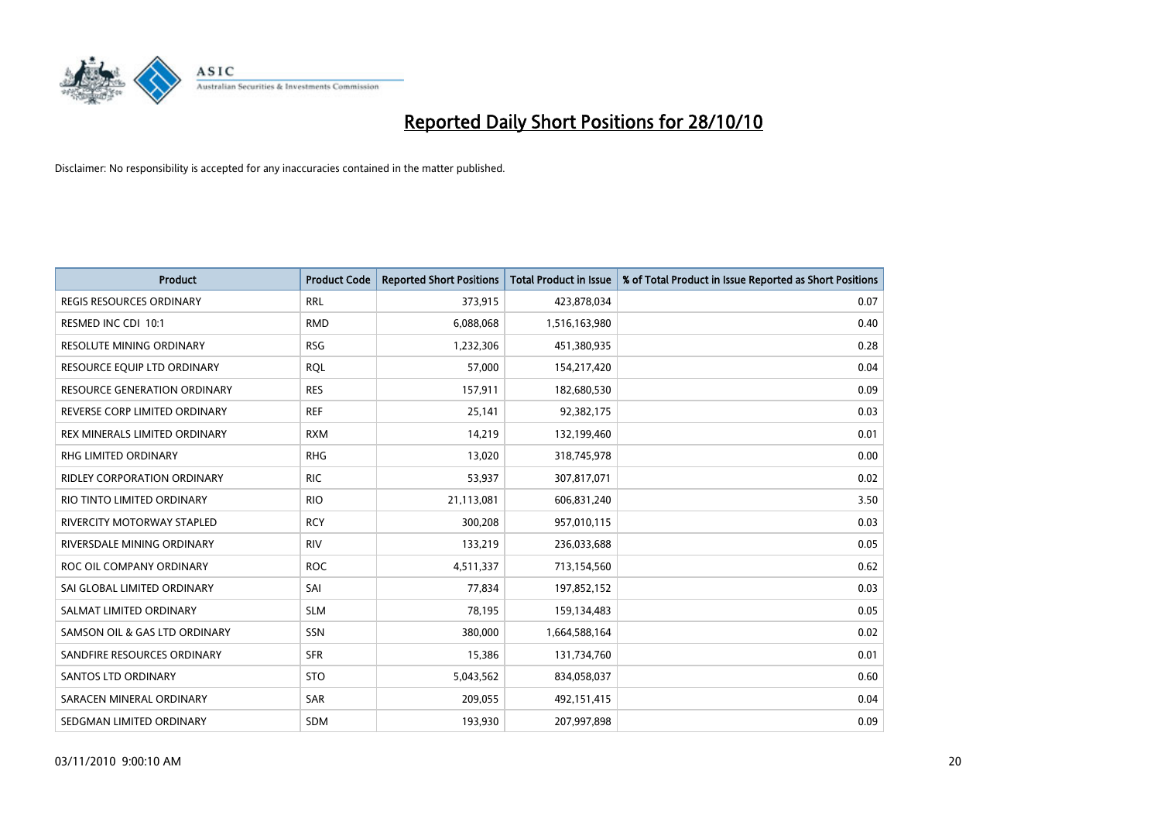

| <b>Product</b>                      | <b>Product Code</b> | <b>Reported Short Positions</b> | Total Product in Issue | % of Total Product in Issue Reported as Short Positions |
|-------------------------------------|---------------------|---------------------------------|------------------------|---------------------------------------------------------|
| <b>REGIS RESOURCES ORDINARY</b>     | <b>RRL</b>          | 373,915                         | 423,878,034            | 0.07                                                    |
| RESMED INC CDI 10:1                 | <b>RMD</b>          | 6,088,068                       | 1,516,163,980          | 0.40                                                    |
| <b>RESOLUTE MINING ORDINARY</b>     | <b>RSG</b>          | 1,232,306                       | 451,380,935            | 0.28                                                    |
| RESOURCE EQUIP LTD ORDINARY         | <b>RQL</b>          | 57,000                          | 154,217,420            | 0.04                                                    |
| <b>RESOURCE GENERATION ORDINARY</b> | <b>RES</b>          | 157,911                         | 182,680,530            | 0.09                                                    |
| REVERSE CORP LIMITED ORDINARY       | <b>REF</b>          | 25,141                          | 92,382,175             | 0.03                                                    |
| REX MINERALS LIMITED ORDINARY       | <b>RXM</b>          | 14,219                          | 132,199,460            | 0.01                                                    |
| RHG LIMITED ORDINARY                | <b>RHG</b>          | 13,020                          | 318,745,978            | 0.00                                                    |
| <b>RIDLEY CORPORATION ORDINARY</b>  | <b>RIC</b>          | 53,937                          | 307,817,071            | 0.02                                                    |
| RIO TINTO LIMITED ORDINARY          | <b>RIO</b>          | 21,113,081                      | 606,831,240            | 3.50                                                    |
| RIVERCITY MOTORWAY STAPLED          | <b>RCY</b>          | 300,208                         | 957,010,115            | 0.03                                                    |
| RIVERSDALE MINING ORDINARY          | <b>RIV</b>          | 133,219                         | 236,033,688            | 0.05                                                    |
| ROC OIL COMPANY ORDINARY            | <b>ROC</b>          | 4,511,337                       | 713,154,560            | 0.62                                                    |
| SAI GLOBAL LIMITED ORDINARY         | SAI                 | 77,834                          | 197,852,152            | 0.03                                                    |
| SALMAT LIMITED ORDINARY             | <b>SLM</b>          | 78,195                          | 159,134,483            | 0.05                                                    |
| SAMSON OIL & GAS LTD ORDINARY       | SSN                 | 380,000                         | 1,664,588,164          | 0.02                                                    |
| SANDFIRE RESOURCES ORDINARY         | <b>SFR</b>          | 15,386                          | 131,734,760            | 0.01                                                    |
| <b>SANTOS LTD ORDINARY</b>          | <b>STO</b>          | 5,043,562                       | 834,058,037            | 0.60                                                    |
| SARACEN MINERAL ORDINARY            | SAR                 | 209,055                         | 492,151,415            | 0.04                                                    |
| SEDGMAN LIMITED ORDINARY            | <b>SDM</b>          | 193,930                         | 207,997,898            | 0.09                                                    |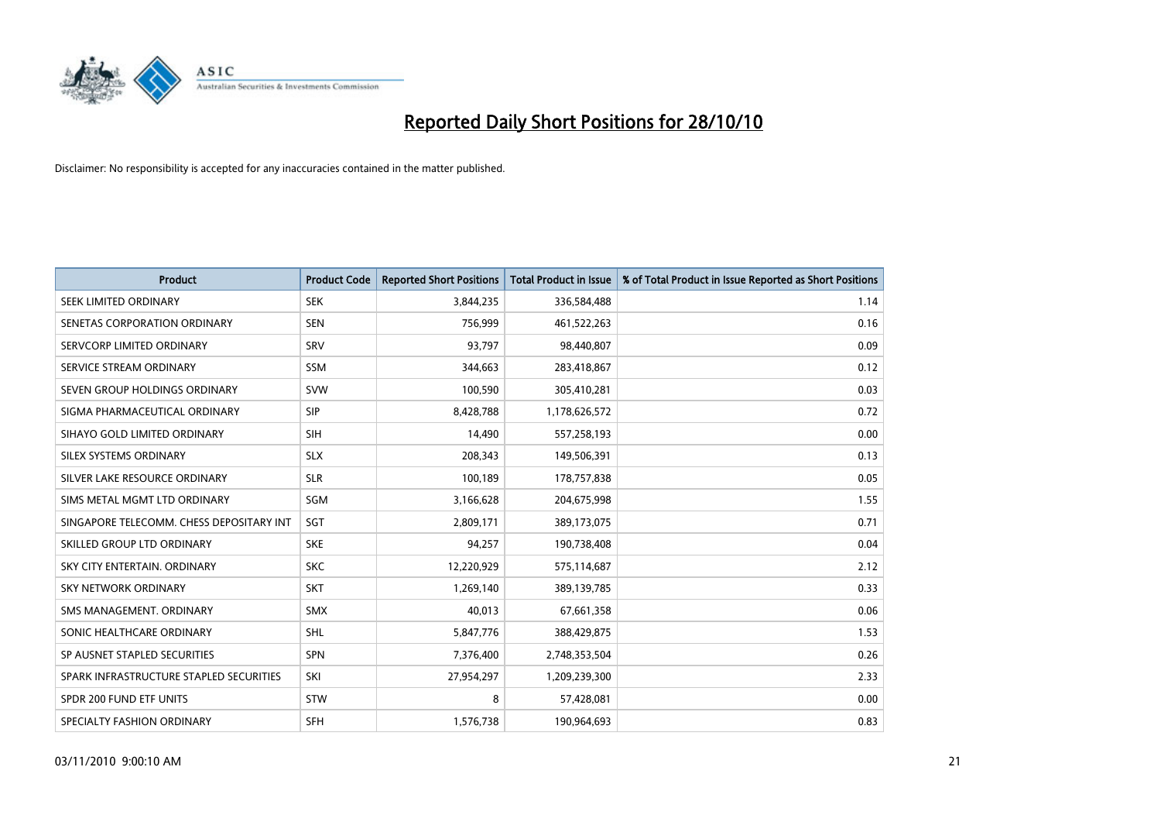

| <b>Product</b>                           | <b>Product Code</b> | <b>Reported Short Positions</b> | Total Product in Issue | % of Total Product in Issue Reported as Short Positions |
|------------------------------------------|---------------------|---------------------------------|------------------------|---------------------------------------------------------|
| SEEK LIMITED ORDINARY                    | <b>SEK</b>          | 3,844,235                       | 336,584,488            | 1.14                                                    |
| SENETAS CORPORATION ORDINARY             | <b>SEN</b>          | 756,999                         | 461,522,263            | 0.16                                                    |
| SERVCORP LIMITED ORDINARY                | SRV                 | 93,797                          | 98,440,807             | 0.09                                                    |
| SERVICE STREAM ORDINARY                  | <b>SSM</b>          | 344,663                         | 283,418,867            | 0.12                                                    |
| SEVEN GROUP HOLDINGS ORDINARY            | <b>SVW</b>          | 100,590                         | 305,410,281            | 0.03                                                    |
| SIGMA PHARMACEUTICAL ORDINARY            | SIP                 | 8,428,788                       | 1,178,626,572          | 0.72                                                    |
| SIHAYO GOLD LIMITED ORDINARY             | SIH                 | 14,490                          | 557,258,193            | 0.00                                                    |
| SILEX SYSTEMS ORDINARY                   | <b>SLX</b>          | 208,343                         | 149,506,391            | 0.13                                                    |
| SILVER LAKE RESOURCE ORDINARY            | <b>SLR</b>          | 100,189                         | 178,757,838            | 0.05                                                    |
| SIMS METAL MGMT LTD ORDINARY             | SGM                 | 3,166,628                       | 204,675,998            | 1.55                                                    |
| SINGAPORE TELECOMM. CHESS DEPOSITARY INT | SGT                 | 2,809,171                       | 389,173,075            | 0.71                                                    |
| SKILLED GROUP LTD ORDINARY               | <b>SKE</b>          | 94,257                          | 190,738,408            | 0.04                                                    |
| SKY CITY ENTERTAIN. ORDINARY             | <b>SKC</b>          | 12,220,929                      | 575,114,687            | 2.12                                                    |
| <b>SKY NETWORK ORDINARY</b>              | <b>SKT</b>          | 1,269,140                       | 389,139,785            | 0.33                                                    |
| SMS MANAGEMENT, ORDINARY                 | <b>SMX</b>          | 40.013                          | 67,661,358             | 0.06                                                    |
| SONIC HEALTHCARE ORDINARY                | <b>SHL</b>          | 5,847,776                       | 388,429,875            | 1.53                                                    |
| SP AUSNET STAPLED SECURITIES             | SPN                 | 7,376,400                       | 2,748,353,504          | 0.26                                                    |
| SPARK INFRASTRUCTURE STAPLED SECURITIES  | SKI                 | 27,954,297                      | 1,209,239,300          | 2.33                                                    |
| SPDR 200 FUND ETF UNITS                  | <b>STW</b>          | 8                               | 57,428,081             | 0.00                                                    |
| SPECIALTY FASHION ORDINARY               | <b>SFH</b>          | 1,576,738                       | 190,964,693            | 0.83                                                    |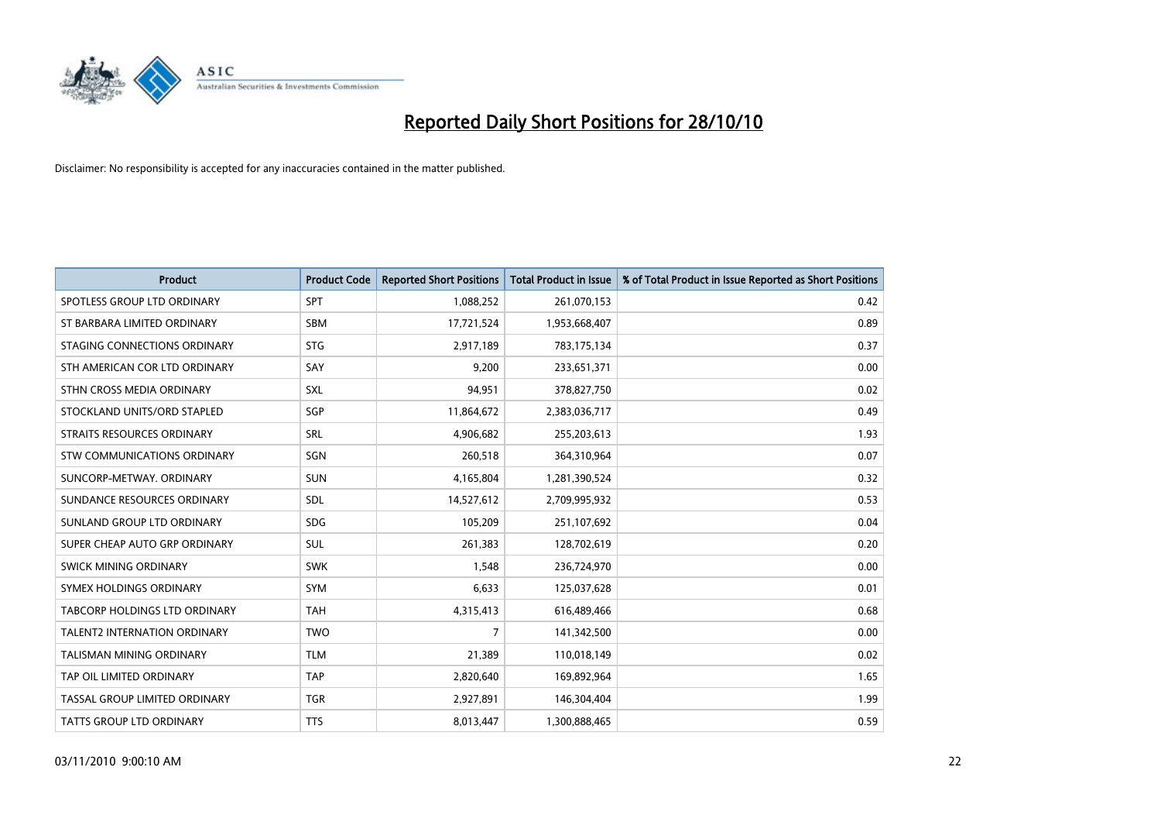

| <b>Product</b>                       | <b>Product Code</b> | <b>Reported Short Positions</b> | <b>Total Product in Issue</b> | % of Total Product in Issue Reported as Short Positions |
|--------------------------------------|---------------------|---------------------------------|-------------------------------|---------------------------------------------------------|
| SPOTLESS GROUP LTD ORDINARY          | <b>SPT</b>          | 1,088,252                       | 261,070,153                   | 0.42                                                    |
| ST BARBARA LIMITED ORDINARY          | SBM                 | 17,721,524                      | 1,953,668,407                 | 0.89                                                    |
| STAGING CONNECTIONS ORDINARY         | <b>STG</b>          | 2,917,189                       | 783,175,134                   | 0.37                                                    |
| STH AMERICAN COR LTD ORDINARY        | SAY                 | 9,200                           | 233,651,371                   | 0.00                                                    |
| STHN CROSS MEDIA ORDINARY            | <b>SXL</b>          | 94,951                          | 378,827,750                   | 0.02                                                    |
| STOCKLAND UNITS/ORD STAPLED          | SGP                 | 11,864,672                      | 2,383,036,717                 | 0.49                                                    |
| STRAITS RESOURCES ORDINARY           | <b>SRL</b>          | 4,906,682                       | 255,203,613                   | 1.93                                                    |
| STW COMMUNICATIONS ORDINARY          | SGN                 | 260,518                         | 364,310,964                   | 0.07                                                    |
| SUNCORP-METWAY, ORDINARY             | <b>SUN</b>          | 4,165,804                       | 1,281,390,524                 | 0.32                                                    |
| SUNDANCE RESOURCES ORDINARY          | <b>SDL</b>          | 14,527,612                      | 2,709,995,932                 | 0.53                                                    |
| SUNLAND GROUP LTD ORDINARY           | <b>SDG</b>          | 105,209                         | 251,107,692                   | 0.04                                                    |
| SUPER CHEAP AUTO GRP ORDINARY        | SUL                 | 261,383                         | 128,702,619                   | 0.20                                                    |
| <b>SWICK MINING ORDINARY</b>         | <b>SWK</b>          | 1,548                           | 236,724,970                   | 0.00                                                    |
| SYMEX HOLDINGS ORDINARY              | <b>SYM</b>          | 6,633                           | 125,037,628                   | 0.01                                                    |
| <b>TABCORP HOLDINGS LTD ORDINARY</b> | <b>TAH</b>          | 4,315,413                       | 616,489,466                   | 0.68                                                    |
| <b>TALENT2 INTERNATION ORDINARY</b>  | <b>TWO</b>          | 7                               | 141,342,500                   | 0.00                                                    |
| <b>TALISMAN MINING ORDINARY</b>      | <b>TLM</b>          | 21,389                          | 110,018,149                   | 0.02                                                    |
| TAP OIL LIMITED ORDINARY             | <b>TAP</b>          | 2,820,640                       | 169,892,964                   | 1.65                                                    |
| TASSAL GROUP LIMITED ORDINARY        | <b>TGR</b>          | 2,927,891                       | 146,304,404                   | 1.99                                                    |
| TATTS GROUP LTD ORDINARY             | <b>TTS</b>          | 8,013,447                       | 1,300,888,465                 | 0.59                                                    |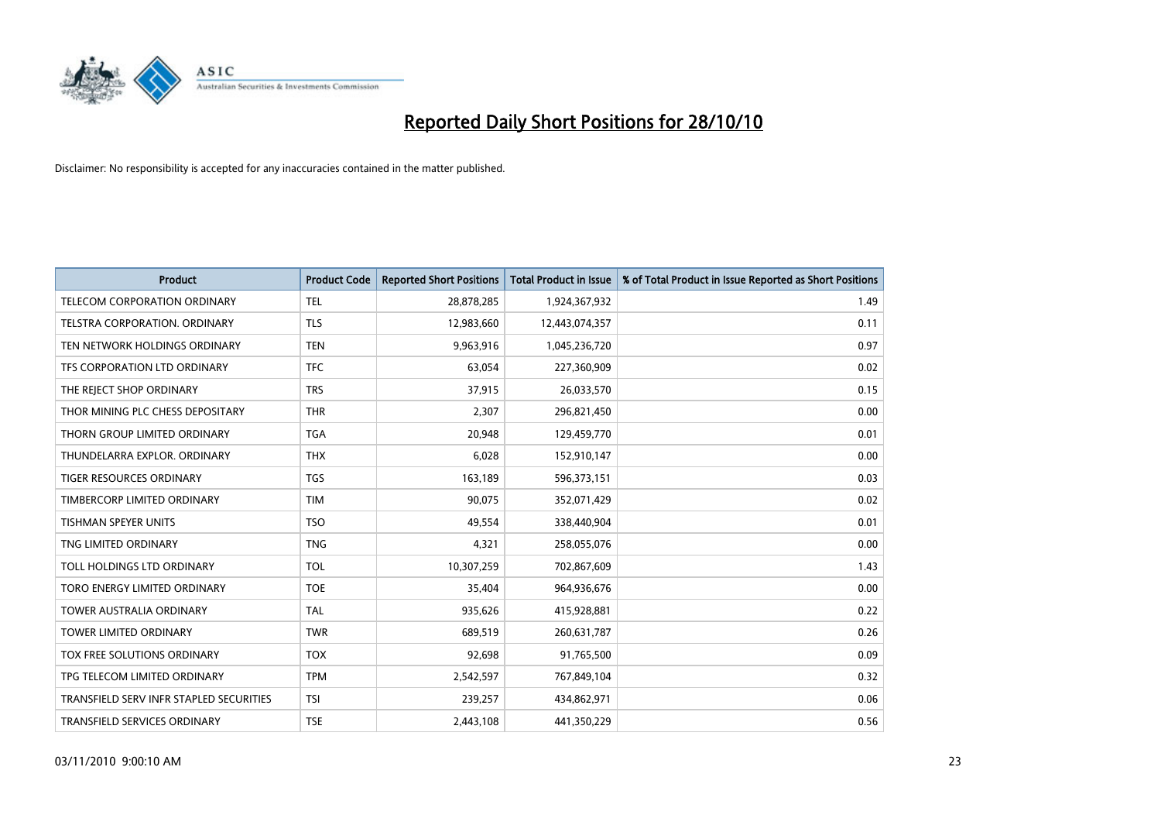

| <b>Product</b>                          | <b>Product Code</b> | <b>Reported Short Positions</b> | Total Product in Issue | % of Total Product in Issue Reported as Short Positions |
|-----------------------------------------|---------------------|---------------------------------|------------------------|---------------------------------------------------------|
| <b>TELECOM CORPORATION ORDINARY</b>     | <b>TEL</b>          | 28,878,285                      | 1,924,367,932          | 1.49                                                    |
| <b>TELSTRA CORPORATION, ORDINARY</b>    | <b>TLS</b>          | 12,983,660                      | 12,443,074,357         | 0.11                                                    |
| TEN NETWORK HOLDINGS ORDINARY           | <b>TEN</b>          | 9,963,916                       | 1,045,236,720          | 0.97                                                    |
| TFS CORPORATION LTD ORDINARY            | <b>TFC</b>          | 63,054                          | 227,360,909            | 0.02                                                    |
| THE REJECT SHOP ORDINARY                | <b>TRS</b>          | 37,915                          | 26,033,570             | 0.15                                                    |
| THOR MINING PLC CHESS DEPOSITARY        | <b>THR</b>          | 2,307                           | 296,821,450            | 0.00                                                    |
| THORN GROUP LIMITED ORDINARY            | <b>TGA</b>          | 20,948                          | 129,459,770            | 0.01                                                    |
| THUNDELARRA EXPLOR, ORDINARY            | <b>THX</b>          | 6,028                           | 152,910,147            | 0.00                                                    |
| TIGER RESOURCES ORDINARY                | <b>TGS</b>          | 163,189                         | 596,373,151            | 0.03                                                    |
| TIMBERCORP LIMITED ORDINARY             | <b>TIM</b>          | 90.075                          | 352,071,429            | 0.02                                                    |
| <b>TISHMAN SPEYER UNITS</b>             | <b>TSO</b>          | 49,554                          | 338,440,904            | 0.01                                                    |
| TNG LIMITED ORDINARY                    | <b>TNG</b>          | 4,321                           | 258,055,076            | 0.00                                                    |
| TOLL HOLDINGS LTD ORDINARY              | <b>TOL</b>          | 10,307,259                      | 702,867,609            | 1.43                                                    |
| TORO ENERGY LIMITED ORDINARY            | <b>TOE</b>          | 35,404                          | 964,936,676            | 0.00                                                    |
| <b>TOWER AUSTRALIA ORDINARY</b>         | <b>TAL</b>          | 935,626                         | 415,928,881            | 0.22                                                    |
| <b>TOWER LIMITED ORDINARY</b>           | <b>TWR</b>          | 689,519                         | 260,631,787            | 0.26                                                    |
| TOX FREE SOLUTIONS ORDINARY             | <b>TOX</b>          | 92,698                          | 91,765,500             | 0.09                                                    |
| TPG TELECOM LIMITED ORDINARY            | <b>TPM</b>          | 2,542,597                       | 767,849,104            | 0.32                                                    |
| TRANSFIELD SERV INFR STAPLED SECURITIES | <b>TSI</b>          | 239,257                         | 434,862,971            | 0.06                                                    |
| TRANSFIELD SERVICES ORDINARY            | <b>TSE</b>          | 2,443,108                       | 441,350,229            | 0.56                                                    |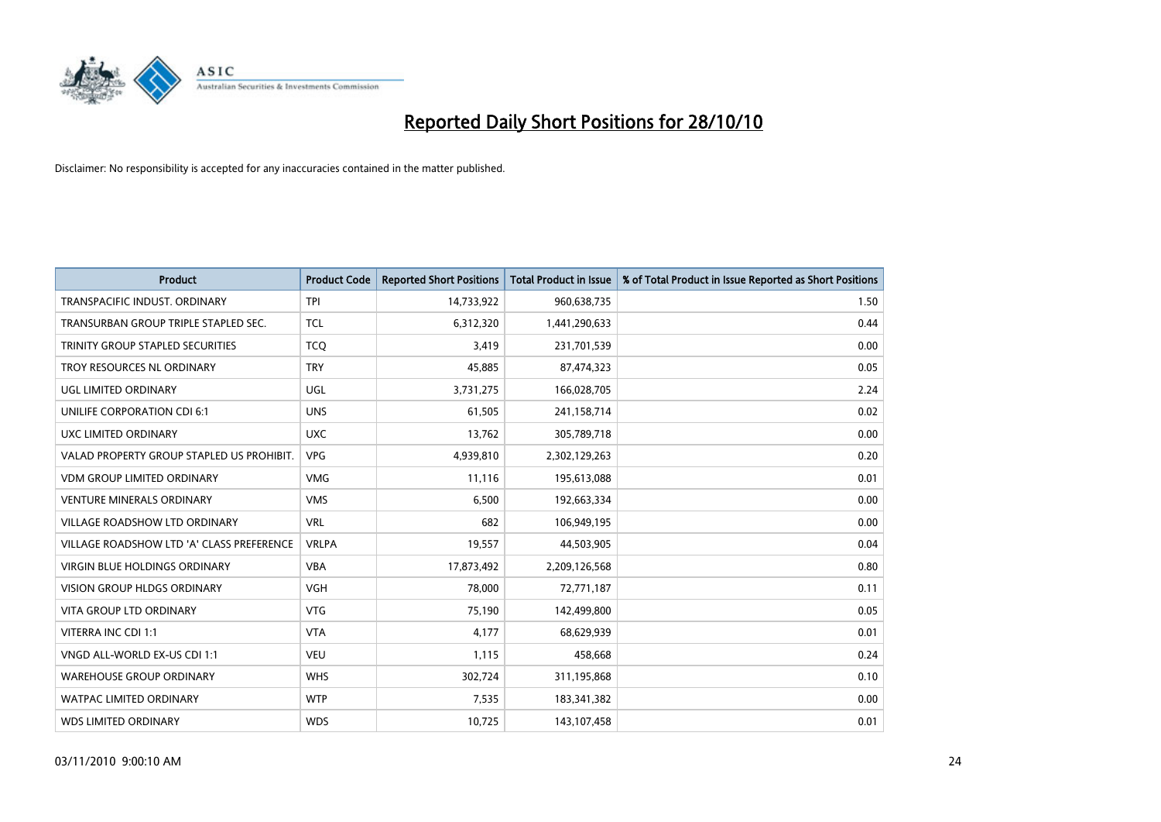

| <b>Product</b>                            | <b>Product Code</b> | <b>Reported Short Positions</b> | <b>Total Product in Issue</b> | % of Total Product in Issue Reported as Short Positions |
|-------------------------------------------|---------------------|---------------------------------|-------------------------------|---------------------------------------------------------|
| TRANSPACIFIC INDUST, ORDINARY             | <b>TPI</b>          | 14,733,922                      | 960,638,735                   | 1.50                                                    |
| TRANSURBAN GROUP TRIPLE STAPLED SEC.      | <b>TCL</b>          | 6,312,320                       | 1,441,290,633                 | 0.44                                                    |
| TRINITY GROUP STAPLED SECURITIES          | <b>TCO</b>          | 3,419                           | 231,701,539                   | 0.00                                                    |
| TROY RESOURCES NL ORDINARY                | <b>TRY</b>          | 45.885                          | 87,474,323                    | 0.05                                                    |
| <b>UGL LIMITED ORDINARY</b>               | <b>UGL</b>          | 3,731,275                       | 166,028,705                   | 2.24                                                    |
| UNILIFE CORPORATION CDI 6:1               | <b>UNS</b>          | 61,505                          | 241,158,714                   | 0.02                                                    |
| UXC LIMITED ORDINARY                      | <b>UXC</b>          | 13,762                          | 305,789,718                   | 0.00                                                    |
| VALAD PROPERTY GROUP STAPLED US PROHIBIT. | <b>VPG</b>          | 4,939,810                       | 2,302,129,263                 | 0.20                                                    |
| <b>VDM GROUP LIMITED ORDINARY</b>         | <b>VMG</b>          | 11,116                          | 195,613,088                   | 0.01                                                    |
| <b>VENTURE MINERALS ORDINARY</b>          | <b>VMS</b>          | 6,500                           | 192,663,334                   | 0.00                                                    |
| VILLAGE ROADSHOW LTD ORDINARY             | <b>VRL</b>          | 682                             | 106,949,195                   | 0.00                                                    |
| VILLAGE ROADSHOW LTD 'A' CLASS PREFERENCE | <b>VRLPA</b>        | 19,557                          | 44,503,905                    | 0.04                                                    |
| <b>VIRGIN BLUE HOLDINGS ORDINARY</b>      | <b>VBA</b>          | 17,873,492                      | 2,209,126,568                 | 0.80                                                    |
| <b>VISION GROUP HLDGS ORDINARY</b>        | <b>VGH</b>          | 78,000                          | 72,771,187                    | 0.11                                                    |
| <b>VITA GROUP LTD ORDINARY</b>            | <b>VTG</b>          | 75,190                          | 142,499,800                   | 0.05                                                    |
| VITERRA INC CDI 1:1                       | <b>VTA</b>          | 4,177                           | 68,629,939                    | 0.01                                                    |
| VNGD ALL-WORLD EX-US CDI 1:1              | <b>VEU</b>          | 1,115                           | 458,668                       | 0.24                                                    |
| <b>WAREHOUSE GROUP ORDINARY</b>           | <b>WHS</b>          | 302,724                         | 311,195,868                   | 0.10                                                    |
| <b>WATPAC LIMITED ORDINARY</b>            | <b>WTP</b>          | 7,535                           | 183,341,382                   | 0.00                                                    |
| <b>WDS LIMITED ORDINARY</b>               | <b>WDS</b>          | 10,725                          | 143,107,458                   | 0.01                                                    |